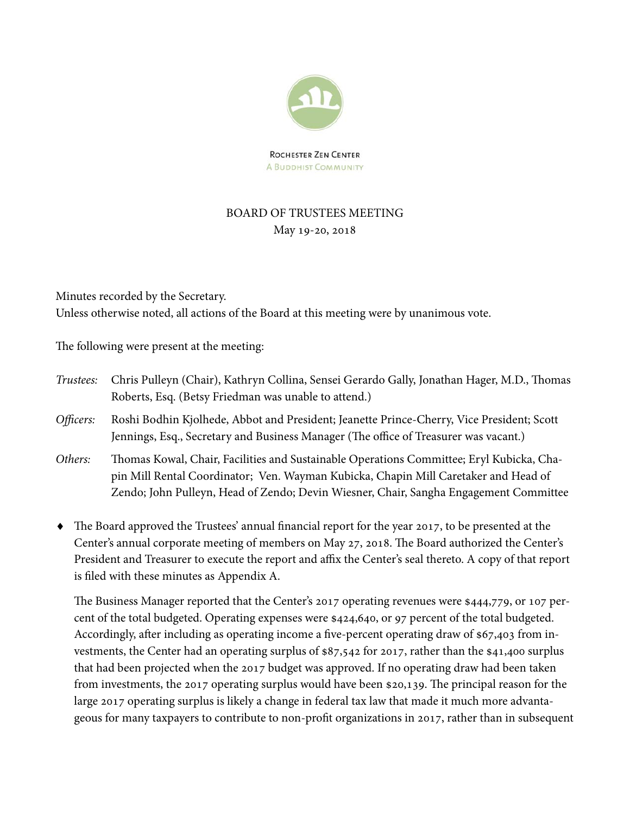

**ROCHESTER ZEN CENTER A BUDDHIST COMMUNITY** 

# BOARD OF TRUSTEES MEETING May 19-20, 2018

Minutes recorded by the Secretary. Unless otherwise noted, all actions of the Board at this meeting were by unanimous vote.

The following were present at the meeting:

- Trustees: Chris Pulleyn (Chair), Kathryn Collina, Sensei Gerardo Gally, Jonathan Hager, M.D., Thomas Roberts, Esq. (Betsy Friedman was unable to attend.)
- Officers: Roshi Bodhin Kjolhede, Abbot and President; Jeanette Prince-Cherry, Vice President; Scott Jennings, Esq., Secretary and Business Manager (The office of Treasurer was vacant.)
- Others: Thomas Kowal, Chair, Facilities and Sustainable Operations Committee; Eryl Kubicka, Chapin Mill Rental Coordinator; Ven. Wayman Kubicka, Chapin Mill Caretaker and Head of Zendo; John Pulleyn, Head of Zendo; Devin Wiesner, Chair, Sangha Engagement Committee
- The Board approved the Trustees' annual financial report for the year 2017, to be presented at the Center's annual corporate meeting of members on May 27, 2018. The Board authorized the Center's President and Treasurer to execute the report and affix the Center's seal thereto. A copy of that report is filed with these minutes as Appendix A.

The Business Manager reported that the Center's 2017 operating revenues were \$444,779, or 107 percent of the total budgeted. Operating expenses were \$424,640, or 97 percent of the total budgeted. Accordingly, after including as operating income a five-percent operating draw of \$67,403 from investments, the Center had an operating surplus of \$87,542 for 2017, rather than the \$41,400 surplus that had been projected when the 2017 budget was approved. If no operating draw had been taken from investments, the 2017 operating surplus would have been \$20,139. The principal reason for the large 2017 operating surplus is likely a change in federal tax law that made it much more advantageous for many taxpayers to contribute to non-profit organizations in 2017, rather than in subsequent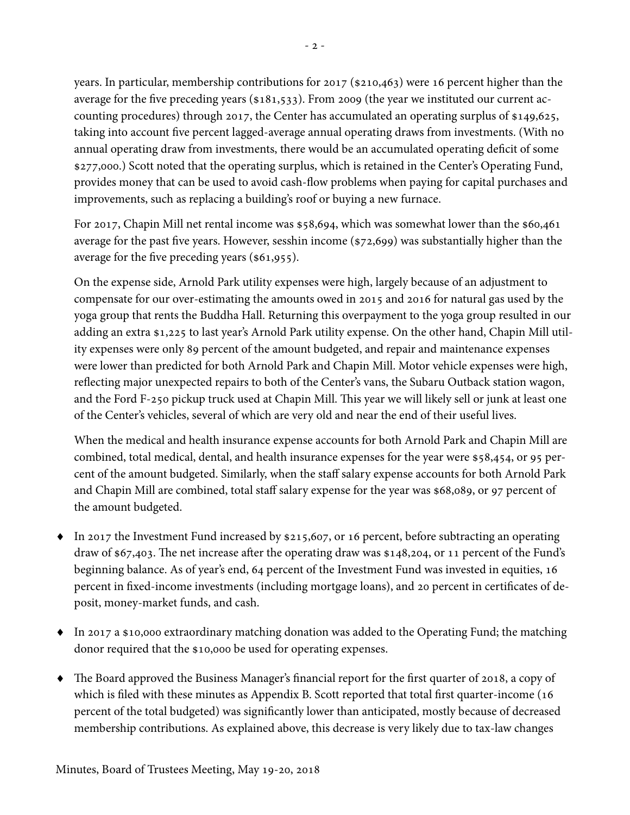years. In particular, membership contributions for 2017 (\$210,463) were 16 percent higher than the average for the five preceding years (\$181,533). From 2009 (the year we instituted our current accounting procedures) through 2017, the Center has accumulated an operating surplus of \$149,625, taking into account five percent lagged-average annual operating draws from investments. (With no annual operating draw from investments, there would be an accumulated operating deficit of some \$277,000.) Scott noted that the operating surplus, which is retained in the Center's Operating Fund, provides money that can be used to avoid cash-flow problems when paying for capital purchases and improvements, such as replacing a building's roof or buying a new furnace.

For 2017, Chapin Mill net rental income was \$58,694, which was somewhat lower than the \$60,461 average for the past five years. However, sesshin income (\$72,699) was substantially higher than the average for the five preceding years (\$61,955).

On the expense side, Arnold Park utility expenses were high, largely because of an adjustment to compensate for our over-estimating the amounts owed in 2015 and 2016 for natural gas used by the yoga group that rents the Buddha Hall. Returning this overpayment to the yoga group resulted in our adding an extra \$1,225 to last year's Arnold Park utility expense. On the other hand, Chapin Mill utility expenses were only 89 percent of the amount budgeted, and repair and maintenance expenses were lower than predicted for both Arnold Park and Chapin Mill. Motor vehicle expenses were high, reflecting major unexpected repairs to both of the Center's vans, the Subaru Outback station wagon, and the Ford F-250 pickup truck used at Chapin Mill. This year we will likely sell or junk at least one of the Center's vehicles, several of which are very old and near the end of their useful lives.

When the medical and health insurance expense accounts for both Arnold Park and Chapin Mill are combined, total medical, dental, and health insurance expenses for the year were \$58,454, or 95 percent of the amount budgeted. Similarly, when the staff salary expense accounts for both Arnold Park and Chapin Mill are combined, total staff salary expense for the year was \$68,089, or 97 percent of the amount budgeted.

- In 2017 the Investment Fund increased by \$215,607, or 16 percent, before subtracting an operating draw of \$67,403. The net increase after the operating draw was \$148,204, or 11 percent of the Fund's beginning balance. As of year's end, 64 percent of the Investment Fund was invested in equities, 16 percent in fixed-income investments (including mortgage loans), and 20 percent in certificates of deposit, money-market funds, and cash.
- In 2017 a \$10,000 extraordinary matching donation was added to the Operating Fund; the matching donor required that the \$10,000 be used for operating expenses.
- The Board approved the Business Manager's financial report for the first quarter of 2018, a copy of which is filed with these minutes as Appendix B. Scott reported that total first quarter-income (16 percent of the total budgeted) was significantly lower than anticipated, mostly because of decreased membership contributions. As explained above, this decrease is very likely due to tax-law changes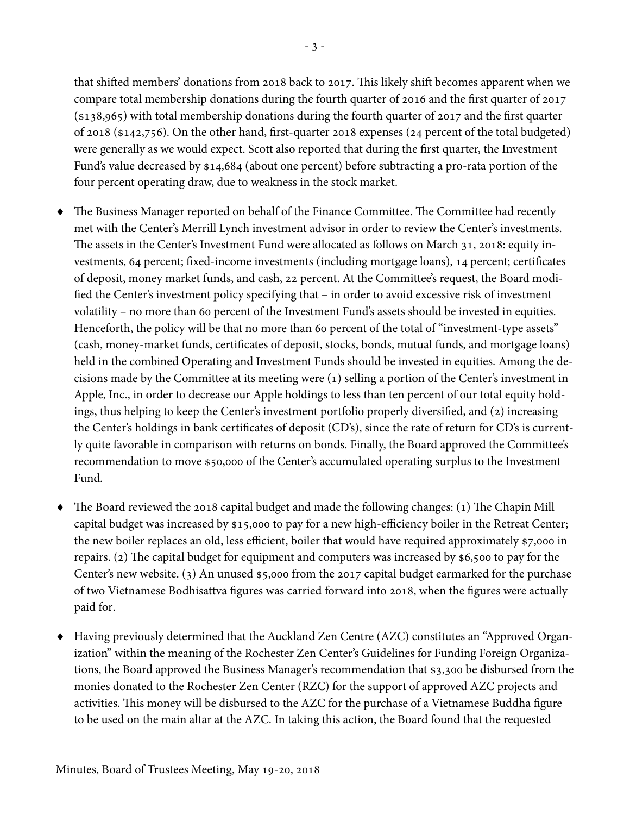that shifted members' donations from 2018 back to 2017. This likely shift becomes apparent when we compare total membership donations during the fourth quarter of 2016 and the first quarter of 2017 (\$138,965) with total membership donations during the fourth quarter of 2017 and the first quarter of 2018 (\$142,756). On the other hand, first-quarter 2018 expenses (24 percent of the total budgeted) were generally as we would expect. Scott also reported that during the first quarter, the Investment Fund's value decreased by \$14,684 (about one percent) before subtracting a pro-rata portion of the four percent operating draw, due to weakness in the stock market.

- The Business Manager reported on behalf of the Finance Committee. The Committee had recently met with the Center's Merrill Lynch investment advisor in order to review the Center's investments. The assets in the Center's Investment Fund were allocated as follows on March 31, 2018: equity investments, 64 percent; fixed-income investments (including mortgage loans), 14 percent; certificates of deposit, money market funds, and cash, 22 percent. At the Committee's request, the Board modified the Center's investment policy specifying that – in order to avoid excessive risk of investment volatility – no more than 60 percent of the Investment Fund's assets should be invested in equities. Henceforth, the policy will be that no more than 60 percent of the total of "investment-type assets" (cash, money-market funds, certificates of deposit, stocks, bonds, mutual funds, and mortgage loans) held in the combined Operating and Investment Funds should be invested in equities. Among the decisions made by the Committee at its meeting were (1) selling a portion of the Center's investment in Apple, Inc., in order to decrease our Apple holdings to less than ten percent of our total equity holdings, thus helping to keep the Center's investment portfolio properly diversified, and (2) increasing the Center's holdings in bank certificates of deposit (CD's), since the rate of return for CD's is currently quite favorable in comparison with returns on bonds. Finally, the Board approved the Committee's recommendation to move \$50,000 of the Center's accumulated operating surplus to the Investment Fund.
- The Board reviewed the 2018 capital budget and made the following changes: (1) The Chapin Mill capital budget was increased by \$15,000 to pay for a new high-efficiency boiler in the Retreat Center; the new boiler replaces an old, less efficient, boiler that would have required approximately \$7,000 in repairs. (2) The capital budget for equipment and computers was increased by \$6,500 to pay for the Center's new website. (3) An unused \$5,000 from the 2017 capital budget earmarked for the purchase of two Vietnamese Bodhisattva figures was carried forward into 2018, when the figures were actually paid for.
- Having previously determined that the Auckland Zen Centre (AZC) constitutes an "Approved Organization" within the meaning of the Rochester Zen Center's Guidelines for Funding Foreign Organizations, the Board approved the Business Manager's recommendation that \$3,300 be disbursed from the monies donated to the Rochester Zen Center (RZC) for the support of approved AZC projects and activities. This money will be disbursed to the AZC for the purchase of a Vietnamese Buddha figure to be used on the main altar at the AZC. In taking this action, the Board found that the requested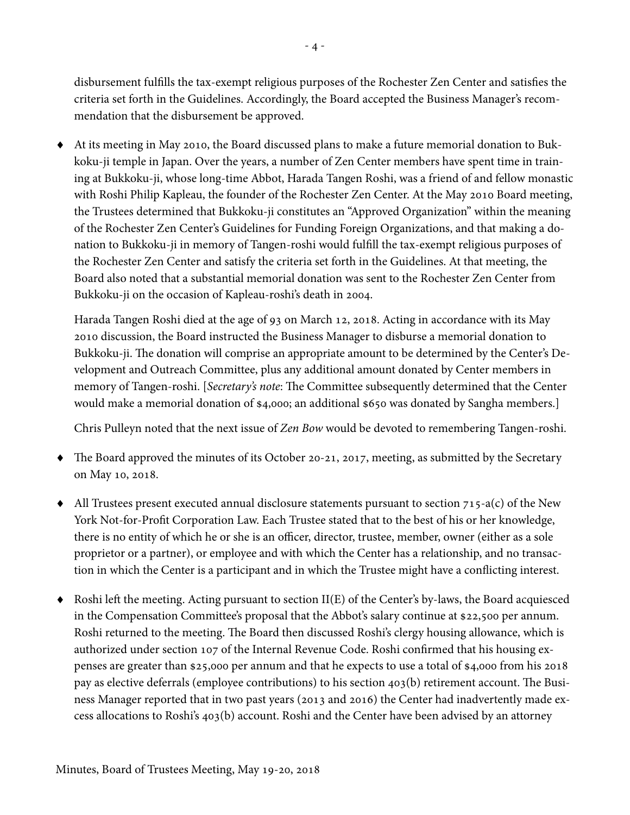disbursement fulfills the tax-exempt religious purposes of the Rochester Zen Center and satisfies the criteria set forth in the Guidelines. Accordingly, the Board accepted the Business Manager's recommendation that the disbursement be approved.

 At its meeting in May 2010, the Board discussed plans to make a future memorial donation to Bukkoku-ji temple in Japan. Over the years, a number of Zen Center members have spent time in training at Bukkoku-ji, whose long-time Abbot, Harada Tangen Roshi, was a friend of and fellow monastic with Roshi Philip Kapleau, the founder of the Rochester Zen Center. At the May 2010 Board meeting, the Trustees determined that Bukkoku-ji constitutes an "Approved Organization" within the meaning of the Rochester Zen Center's Guidelines for Funding Foreign Organizations, and that making a donation to Bukkoku-ji in memory of Tangen-roshi would fulfill the tax-exempt religious purposes of the Rochester Zen Center and satisfy the criteria set forth in the Guidelines. At that meeting, the Board also noted that a substantial memorial donation was sent to the Rochester Zen Center from Bukkoku-ji on the occasion of Kapleau-roshi's death in 2004.

Harada Tangen Roshi died at the age of 93 on March 12, 2018. Acting in accordance with its May 2010 discussion, the Board instructed the Business Manager to disburse a memorial donation to Bukkoku-ji. The donation will comprise an appropriate amount to be determined by the Center's Development and Outreach Committee, plus any additional amount donated by Center members in memory of Tangen-roshi. [Secretary's note: The Committee subsequently determined that the Center would make a memorial donation of \$4,000; an additional \$650 was donated by Sangha members.]

Chris Pulleyn noted that the next issue of Zen Bow would be devoted to remembering Tangen-roshi.

- The Board approved the minutes of its October 20-21, 2017, meeting, as submitted by the Secretary on May 10, 2018.
- $\blacklozenge$  All Trustees present executed annual disclosure statements pursuant to section 715-a(c) of the New York Not-for-Profit Corporation Law. Each Trustee stated that to the best of his or her knowledge, there is no entity of which he or she is an officer, director, trustee, member, owner (either as a sole proprietor or a partner), or employee and with which the Center has a relationship, and no transaction in which the Center is a participant and in which the Trustee might have a conflicting interest.
- $\blacklozenge$  Roshi left the meeting. Acting pursuant to section II(E) of the Center's by-laws, the Board acquiesced in the Compensation Committee's proposal that the Abbot's salary continue at \$22,500 per annum. Roshi returned to the meeting. The Board then discussed Roshi's clergy housing allowance, which is authorized under section 107 of the Internal Revenue Code. Roshi confirmed that his housing expenses are greater than \$25,000 per annum and that he expects to use a total of \$4,000 from his 2018 pay as elective deferrals (employee contributions) to his section 403(b) retirement account. The Business Manager reported that in two past years (2013 and 2016) the Center had inadvertently made excess allocations to Roshi's 403(b) account. Roshi and the Center have been advised by an attorney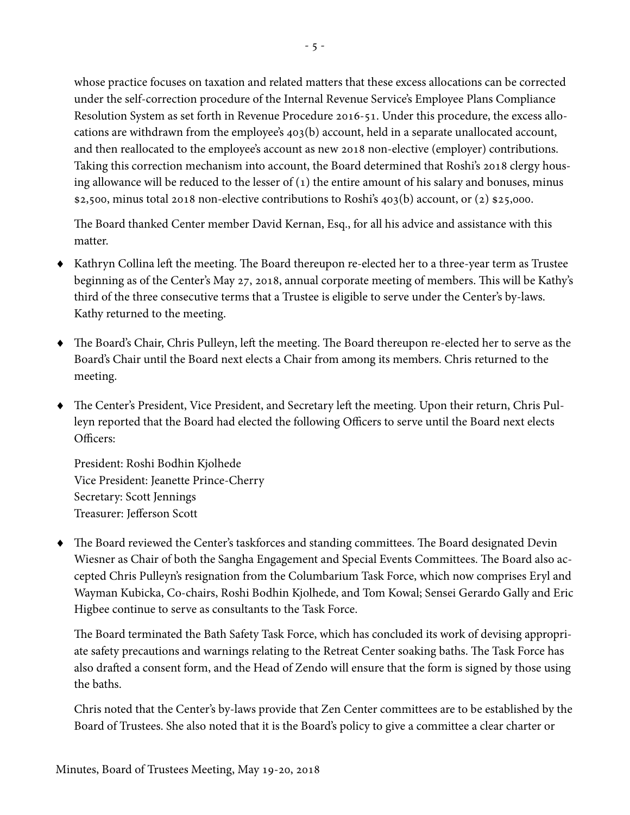whose practice focuses on taxation and related matters that these excess allocations can be corrected under the self-correction procedure of the Internal Revenue Service's Employee Plans Compliance Resolution System as set forth in Revenue Procedure 2016-51. Under this procedure, the excess allocations are withdrawn from the employee's 403(b) account, held in a separate unallocated account, and then reallocated to the employee's account as new 2018 non-elective (employer) contributions. Taking this correction mechanism into account, the Board determined that Roshi's 2018 clergy housing allowance will be reduced to the lesser of  $(1)$  the entire amount of his salary and bonuses, minus \$2,500, minus total 2018 non-elective contributions to Roshi's 403(b) account, or (2) \$25,000.

The Board thanked Center member David Kernan, Esq., for all his advice and assistance with this matter.

- Kathryn Collina left the meeting. The Board thereupon re-elected her to a three-year term as Trustee beginning as of the Center's May 27, 2018, annual corporate meeting of members. This will be Kathy's third of the three consecutive terms that a Trustee is eligible to serve under the Center's by-laws. Kathy returned to the meeting.
- The Board's Chair, Chris Pulleyn, left the meeting. The Board thereupon re-elected her to serve as the Board's Chair until the Board next elects a Chair from among its members. Chris returned to the meeting.
- The Center's President, Vice President, and Secretary left the meeting. Upon their return, Chris Pulleyn reported that the Board had elected the following Officers to serve until the Board next elects Officers:

President: Roshi Bodhin Kjolhede Vice President: Jeanette Prince-Cherry Secretary: Scott Jennings Treasurer: Jefferson Scott

 The Board reviewed the Center's taskforces and standing committees. The Board designated Devin Wiesner as Chair of both the Sangha Engagement and Special Events Committees. The Board also accepted Chris Pulleyn's resignation from the Columbarium Task Force, which now comprises Eryl and Wayman Kubicka, Co-chairs, Roshi Bodhin Kjolhede, and Tom Kowal; Sensei Gerardo Gally and Eric Higbee continue to serve as consultants to the Task Force.

The Board terminated the Bath Safety Task Force, which has concluded its work of devising appropriate safety precautions and warnings relating to the Retreat Center soaking baths. The Task Force has also drafted a consent form, and the Head of Zendo will ensure that the form is signed by those using the baths.

Chris noted that the Center's by-laws provide that Zen Center committees are to be established by the Board of Trustees. She also noted that it is the Board's policy to give a committee a clear charter or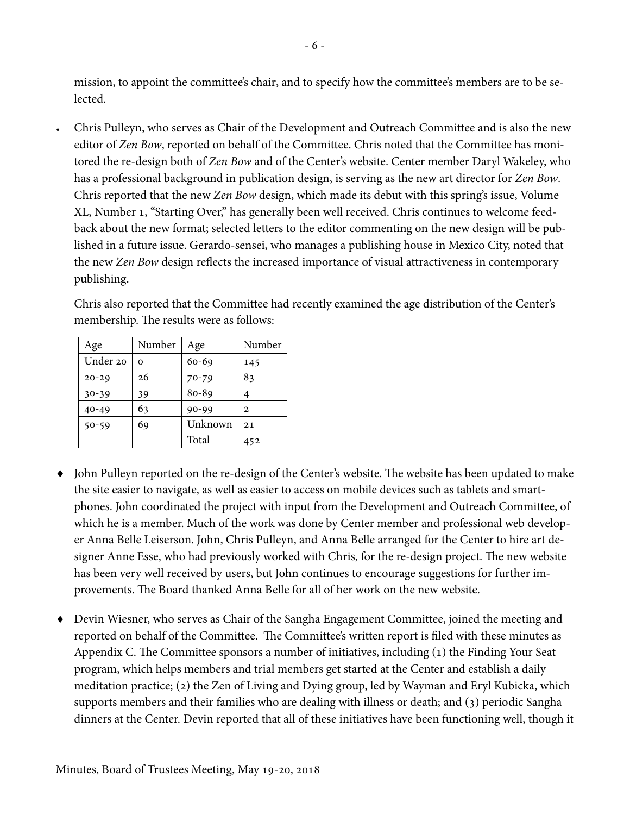mission, to appoint the committee's chair, and to specify how the committee's members are to be selected.

 Chris Pulleyn, who serves as Chair of the Development and Outreach Committee and is also the new editor of Zen Bow, reported on behalf of the Committee. Chris noted that the Committee has monitored the re-design both of Zen Bow and of the Center's website. Center member Daryl Wakeley, who has a professional background in publication design, is serving as the new art director for Zen Bow. Chris reported that the new Zen Bow design, which made its debut with this spring's issue, Volume XL, Number 1, "Starting Over," has generally been well received. Chris continues to welcome feedback about the new format; selected letters to the editor commenting on the new design will be published in a future issue. Gerardo-sensei, who manages a publishing house in Mexico City, noted that the new Zen Bow design reflects the increased importance of visual attractiveness in contemporary publishing.

Chris also reported that the Committee had recently examined the age distribution of the Center's membership. The results were as follows:

| Age       | Number   | Age       | Number |
|-----------|----------|-----------|--------|
| Under 20  | $\Omega$ | 60-69     | 145    |
| $20 - 29$ | 26       | 70-79     | 83     |
| $30 - 39$ | 39       | $80 - 89$ |        |
| $40 - 49$ | 63       | 90-99     | 2      |
| $50 - 59$ | 69       | Unknown   | 21     |
|           |          | Total     | 452    |

- John Pulleyn reported on the re-design of the Center's website. The website has been updated to make the site easier to navigate, as well as easier to access on mobile devices such as tablets and smartphones. John coordinated the project with input from the Development and Outreach Committee, of which he is a member. Much of the work was done by Center member and professional web developer Anna Belle Leiserson. John, Chris Pulleyn, and Anna Belle arranged for the Center to hire art designer Anne Esse, who had previously worked with Chris, for the re-design project. The new website has been very well received by users, but John continues to encourage suggestions for further improvements. The Board thanked Anna Belle for all of her work on the new website.
- Devin Wiesner, who serves as Chair of the Sangha Engagement Committee, joined the meeting and reported on behalf of the Committee. The Committee's written report is filed with these minutes as Appendix C. The Committee sponsors a number of initiatives, including (1) the Finding Your Seat program, which helps members and trial members get started at the Center and establish a daily meditation practice; (2) the Zen of Living and Dying group, led by Wayman and Eryl Kubicka, which supports members and their families who are dealing with illness or death; and (3) periodic Sangha dinners at the Center. Devin reported that all of these initiatives have been functioning well, though it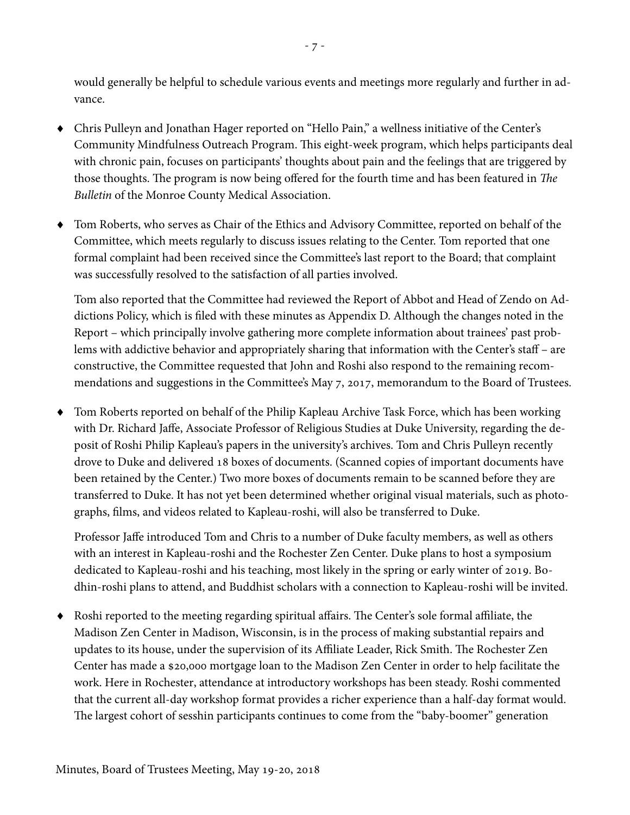would generally be helpful to schedule various events and meetings more regularly and further in advance.

- Chris Pulleyn and Jonathan Hager reported on "Hello Pain," a wellness initiative of the Center's Community Mindfulness Outreach Program. This eight-week program, which helps participants deal with chronic pain, focuses on participants' thoughts about pain and the feelings that are triggered by those thoughts. The program is now being offered for the fourth time and has been featured in The Bulletin of the Monroe County Medical Association.
- Tom Roberts, who serves as Chair of the Ethics and Advisory Committee, reported on behalf of the Committee, which meets regularly to discuss issues relating to the Center. Tom reported that one formal complaint had been received since the Committee's last report to the Board; that complaint was successfully resolved to the satisfaction of all parties involved.

Tom also reported that the Committee had reviewed the Report of Abbot and Head of Zendo on Addictions Policy, which is filed with these minutes as Appendix D. Although the changes noted in the Report – which principally involve gathering more complete information about trainees' past problems with addictive behavior and appropriately sharing that information with the Center's staff – are constructive, the Committee requested that John and Roshi also respond to the remaining recommendations and suggestions in the Committee's May 7, 2017, memorandum to the Board of Trustees.

 Tom Roberts reported on behalf of the Philip Kapleau Archive Task Force, which has been working with Dr. Richard Jaffe, Associate Professor of Religious Studies at Duke University, regarding the deposit of Roshi Philip Kapleau's papers in the university's archives. Tom and Chris Pulleyn recently drove to Duke and delivered 18 boxes of documents. (Scanned copies of important documents have been retained by the Center.) Two more boxes of documents remain to be scanned before they are transferred to Duke. It has not yet been determined whether original visual materials, such as photographs, films, and videos related to Kapleau-roshi, will also be transferred to Duke.

Professor Jaffe introduced Tom and Chris to a number of Duke faculty members, as well as others with an interest in Kapleau-roshi and the Rochester Zen Center. Duke plans to host a symposium dedicated to Kapleau-roshi and his teaching, most likely in the spring or early winter of 2019. Bodhin-roshi plans to attend, and Buddhist scholars with a connection to Kapleau-roshi will be invited.

 Roshi reported to the meeting regarding spiritual affairs. The Center's sole formal affiliate, the Madison Zen Center in Madison, Wisconsin, is in the process of making substantial repairs and updates to its house, under the supervision of its Affiliate Leader, Rick Smith. The Rochester Zen Center has made a \$20,000 mortgage loan to the Madison Zen Center in order to help facilitate the work. Here in Rochester, attendance at introductory workshops has been steady. Roshi commented that the current all-day workshop format provides a richer experience than a half-day format would. The largest cohort of sesshin participants continues to come from the "baby-boomer" generation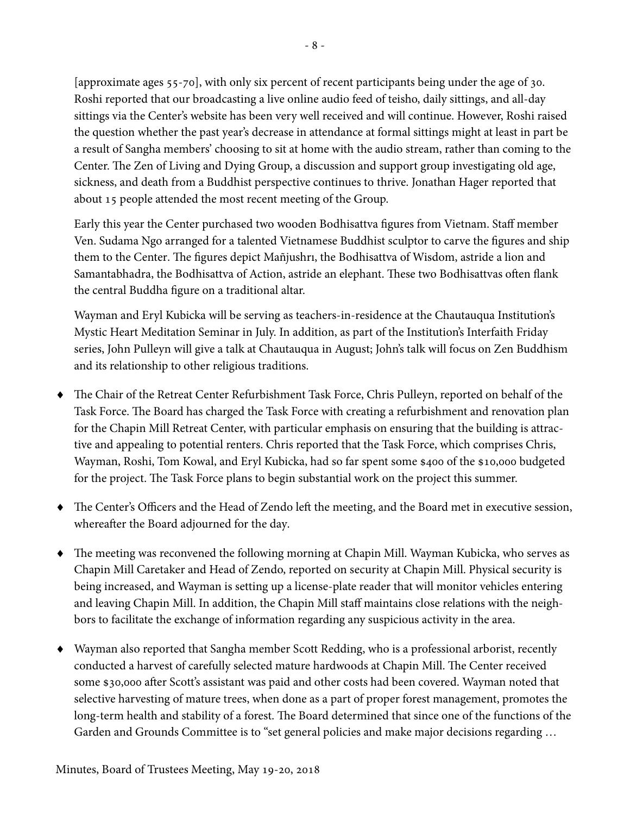[approximate ages 55-70], with only six percent of recent participants being under the age of 30. Roshi reported that our broadcasting a live online audio feed of teisho, daily sittings, and all-day sittings via the Center's website has been very well received and will continue. However, Roshi raised the question whether the past year's decrease in attendance at formal sittings might at least in part be a result of Sangha members' choosing to sit at home with the audio stream, rather than coming to the Center. The Zen of Living and Dying Group, a discussion and support group investigating old age, sickness, and death from a Buddhist perspective continues to thrive. Jonathan Hager reported that about 15 people attended the most recent meeting of the Group.

Early this year the Center purchased two wooden Bodhisattva figures from Vietnam. Staff member Ven. Sudama Ngo arranged for a talented Vietnamese Buddhist sculptor to carve the figures and ship them to the Center. The figures depict Mañjushrı, the Bodhisattva of Wisdom, astride a lion and Samantabhadra, the Bodhisattva of Action, astride an elephant. These two Bodhisattvas often flank the central Buddha figure on a traditional altar.

Wayman and Eryl Kubicka will be serving as teachers-in-residence at the Chautauqua Institution's Mystic Heart Meditation Seminar in July. In addition, as part of the Institution's Interfaith Friday series, John Pulleyn will give a talk at Chautauqua in August; John's talk will focus on Zen Buddhism and its relationship to other religious traditions.

- The Chair of the Retreat Center Refurbishment Task Force, Chris Pulleyn, reported on behalf of the Task Force. The Board has charged the Task Force with creating a refurbishment and renovation plan for the Chapin Mill Retreat Center, with particular emphasis on ensuring that the building is attractive and appealing to potential renters. Chris reported that the Task Force, which comprises Chris, Wayman, Roshi, Tom Kowal, and Eryl Kubicka, had so far spent some \$400 of the \$10,000 budgeted for the project. The Task Force plans to begin substantial work on the project this summer.
- The Center's Officers and the Head of Zendo left the meeting, and the Board met in executive session, whereafter the Board adjourned for the day.
- The meeting was reconvened the following morning at Chapin Mill. Wayman Kubicka, who serves as Chapin Mill Caretaker and Head of Zendo, reported on security at Chapin Mill. Physical security is being increased, and Wayman is setting up a license-plate reader that will monitor vehicles entering and leaving Chapin Mill. In addition, the Chapin Mill staff maintains close relations with the neighbors to facilitate the exchange of information regarding any suspicious activity in the area.
- Wayman also reported that Sangha member Scott Redding, who is a professional arborist, recently conducted a harvest of carefully selected mature hardwoods at Chapin Mill. The Center received some \$30,000 after Scott's assistant was paid and other costs had been covered. Wayman noted that selective harvesting of mature trees, when done as a part of proper forest management, promotes the long-term health and stability of a forest. The Board determined that since one of the functions of the Garden and Grounds Committee is to "set general policies and make major decisions regarding …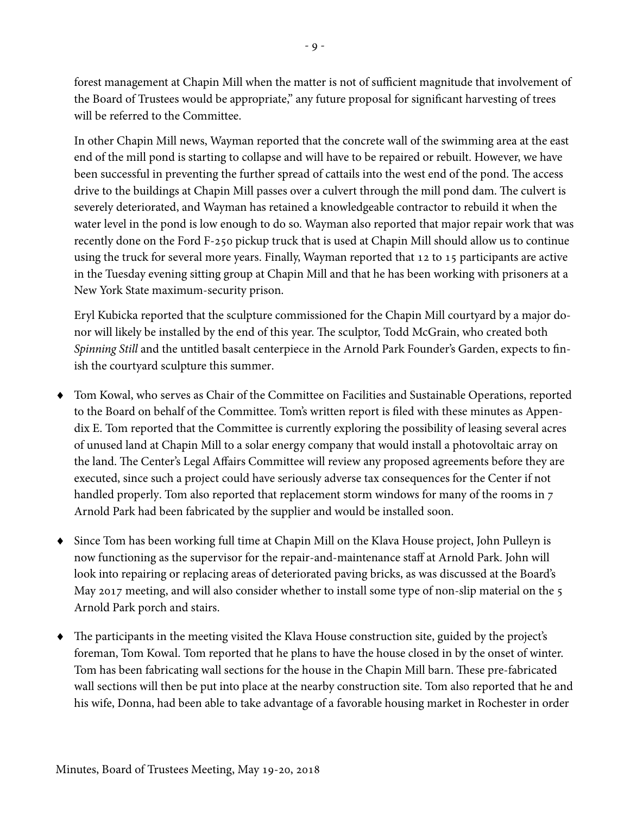forest management at Chapin Mill when the matter is not of sufficient magnitude that involvement of the Board of Trustees would be appropriate," any future proposal for significant harvesting of trees will be referred to the Committee.

In other Chapin Mill news, Wayman reported that the concrete wall of the swimming area at the east end of the mill pond is starting to collapse and will have to be repaired or rebuilt. However, we have been successful in preventing the further spread of cattails into the west end of the pond. The access drive to the buildings at Chapin Mill passes over a culvert through the mill pond dam. The culvert is severely deteriorated, and Wayman has retained a knowledgeable contractor to rebuild it when the water level in the pond is low enough to do so. Wayman also reported that major repair work that was recently done on the Ford F-250 pickup truck that is used at Chapin Mill should allow us to continue using the truck for several more years. Finally, Wayman reported that 12 to 15 participants are active in the Tuesday evening sitting group at Chapin Mill and that he has been working with prisoners at a New York State maximum-security prison.

Eryl Kubicka reported that the sculpture commissioned for the Chapin Mill courtyard by a major donor will likely be installed by the end of this year. The sculptor, Todd McGrain, who created both Spinning Still and the untitled basalt centerpiece in the Arnold Park Founder's Garden, expects to finish the courtyard sculpture this summer.

- Tom Kowal, who serves as Chair of the Committee on Facilities and Sustainable Operations, reported to the Board on behalf of the Committee. Tom's written report is filed with these minutes as Appendix E. Tom reported that the Committee is currently exploring the possibility of leasing several acres of unused land at Chapin Mill to a solar energy company that would install a photovoltaic array on the land. The Center's Legal Affairs Committee will review any proposed agreements before they are executed, since such a project could have seriously adverse tax consequences for the Center if not handled properly. Tom also reported that replacement storm windows for many of the rooms in 7 Arnold Park had been fabricated by the supplier and would be installed soon.
- Since Tom has been working full time at Chapin Mill on the Klava House project, John Pulleyn is now functioning as the supervisor for the repair-and-maintenance staff at Arnold Park. John will look into repairing or replacing areas of deteriorated paving bricks, as was discussed at the Board's May 2017 meeting, and will also consider whether to install some type of non-slip material on the 5 Arnold Park porch and stairs.
- The participants in the meeting visited the Klava House construction site, guided by the project's foreman, Tom Kowal. Tom reported that he plans to have the house closed in by the onset of winter. Tom has been fabricating wall sections for the house in the Chapin Mill barn. These pre-fabricated wall sections will then be put into place at the nearby construction site. Tom also reported that he and his wife, Donna, had been able to take advantage of a favorable housing market in Rochester in order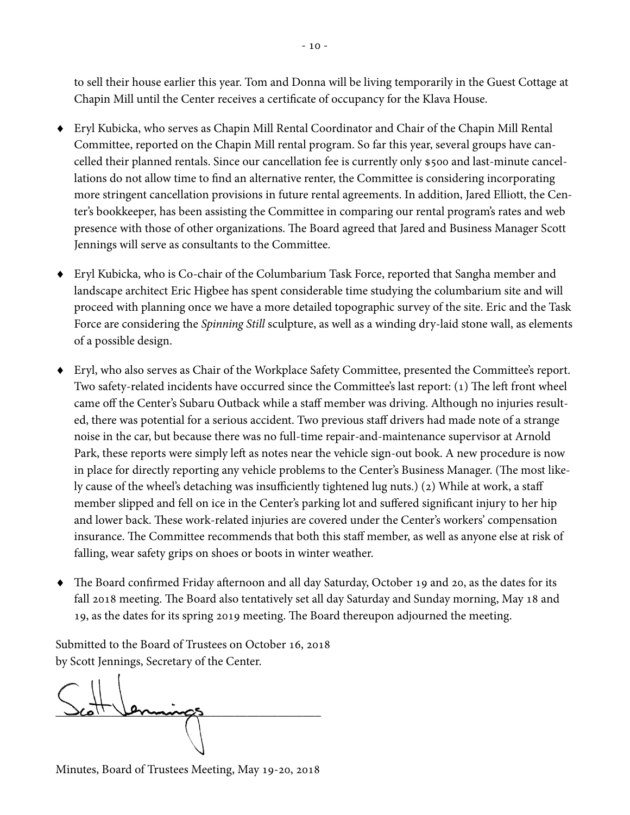to sell their house earlier this year. Tom and Donna will be living temporarily in the Guest Cottage at Chapin Mill until the Center receives a certificate of occupancy for the Klava House.

- Eryl Kubicka, who serves as Chapin Mill Rental Coordinator and Chair of the Chapin Mill Rental Committee, reported on the Chapin Mill rental program. So far this year, several groups have cancelled their planned rentals. Since our cancellation fee is currently only \$500 and last-minute cancellations do not allow time to find an alternative renter, the Committee is considering incorporating more stringent cancellation provisions in future rental agreements. In addition, Jared Elliott, the Center's bookkeeper, has been assisting the Committee in comparing our rental program's rates and web presence with those of other organizations. The Board agreed that Jared and Business Manager Scott Jennings will serve as consultants to the Committee.
- Eryl Kubicka, who is Co-chair of the Columbarium Task Force, reported that Sangha member and landscape architect Eric Higbee has spent considerable time studying the columbarium site and will proceed with planning once we have a more detailed topographic survey of the site. Eric and the Task Force are considering the Spinning Still sculpture, as well as a winding dry-laid stone wall, as elements of a possible design.
- Eryl, who also serves as Chair of the Workplace Safety Committee, presented the Committee's report. Two safety-related incidents have occurred since the Committee's last report: (1) The left front wheel came off the Center's Subaru Outback while a staff member was driving. Although no injuries resulted, there was potential for a serious accident. Two previous staff drivers had made note of a strange noise in the car, but because there was no full-time repair-and-maintenance supervisor at Arnold Park, these reports were simply left as notes near the vehicle sign-out book. A new procedure is now in place for directly reporting any vehicle problems to the Center's Business Manager. (The most likely cause of the wheel's detaching was insufficiently tightened lug nuts.) (2) While at work, a staff member slipped and fell on ice in the Center's parking lot and suffered significant injury to her hip and lower back. These work-related injuries are covered under the Center's workers' compensation insurance. The Committee recommends that both this staff member, as well as anyone else at risk of falling, wear safety grips on shoes or boots in winter weather.
- The Board confirmed Friday afternoon and all day Saturday, October 19 and 20, as the dates for its fall 2018 meeting. The Board also tentatively set all day Saturday and Sunday morning, May 18 and 19, as the dates for its spring 2019 meeting. The Board thereupon adjourned the meeting.

Submitted to the Board of Trustees on October 16, 2018 by Scott Jennings, Secretary of the Center.

 $\Delta$ coll Vermungs

Minutes, Board of Trustees Meeting, May 19-20, 2018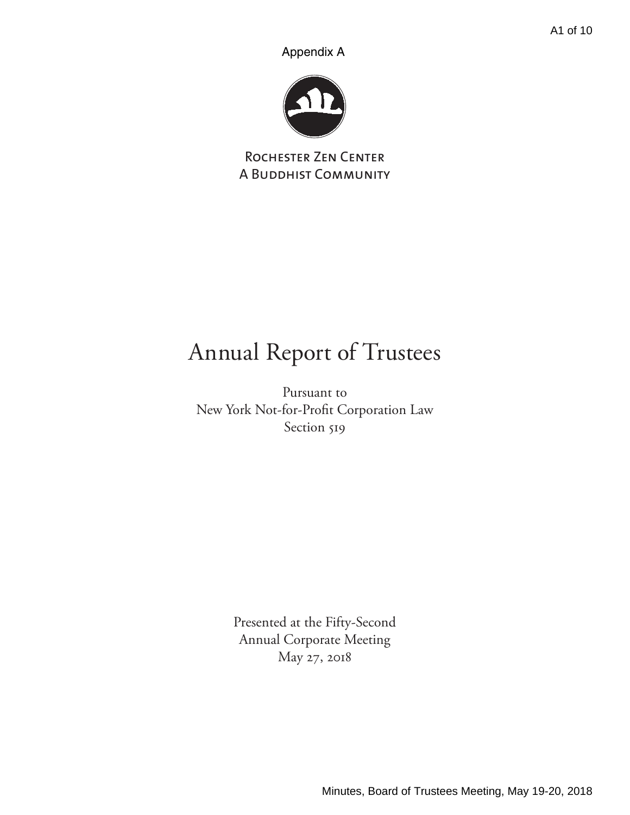Appendix A



Rochester Zen Center A Buddhist Community

# Annual Report of Trustees

Pursuant to New York Not-for-Profit Corporation Law Section 519

> Presented at the Fifty-Second Annual Corporate Meeting May 27, 2018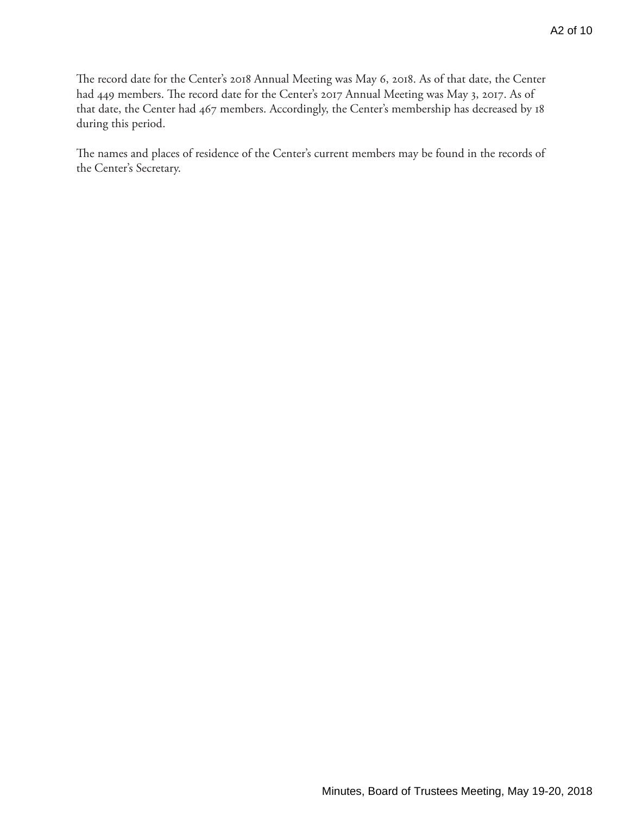The record date for the Center's 2018 Annual Meeting was May 6, 2018. As of that date, the Center had 449 members. The record date for the Center's 2017 Annual Meeting was May 3, 2017. As of that date, the Center had 467 members. Accordingly, the Center's membership has decreased by 18 during this period.

The names and places of residence of the Center's current members may be found in the records of the Center's Secretary.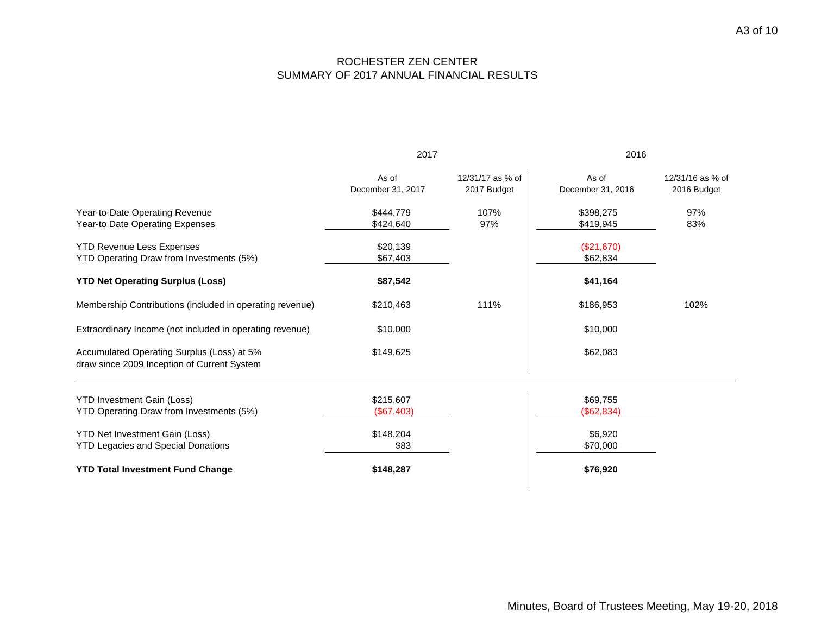## ROCHESTER ZEN CENTER SUMMARY OF 2017 ANNUAL FINANCIAL RESULTS

|                                                                                           | 2017                       |                                 | 2016                       |                                 |
|-------------------------------------------------------------------------------------------|----------------------------|---------------------------------|----------------------------|---------------------------------|
|                                                                                           | As of<br>December 31, 2017 | 12/31/17 as % of<br>2017 Budget | As of<br>December 31, 2016 | 12/31/16 as % of<br>2016 Budget |
| Year-to-Date Operating Revenue<br>Year-to Date Operating Expenses                         | \$444,779<br>\$424,640     | 107%<br>97%                     | \$398,275<br>\$419,945     | 97%<br>83%                      |
| <b>YTD Revenue Less Expenses</b><br>YTD Operating Draw from Investments (5%)              | \$20,139<br>\$67,403       |                                 | (\$21,670)<br>\$62,834     |                                 |
| <b>YTD Net Operating Surplus (Loss)</b>                                                   | \$87,542                   |                                 | \$41,164                   |                                 |
| Membership Contributions (included in operating revenue)                                  | \$210,463                  | 111%                            | \$186,953                  | 102%                            |
| Extraordinary Income (not included in operating revenue)                                  | \$10,000                   |                                 | \$10,000                   |                                 |
| Accumulated Operating Surplus (Loss) at 5%<br>draw since 2009 Inception of Current System | \$149,625                  |                                 | \$62,083                   |                                 |
| <b>YTD Investment Gain (Loss)</b><br>YTD Operating Draw from Investments (5%)             | \$215,607<br>(\$67,403)    |                                 | \$69,755<br>(\$62,834)     |                                 |
| <b>YTD Net Investment Gain (Loss)</b><br><b>YTD Legacies and Special Donations</b>        | \$148,204<br>\$83          |                                 | \$6,920<br>\$70,000        |                                 |
| <b>YTD Total Investment Fund Change</b>                                                   | \$148,287                  |                                 | \$76,920                   |                                 |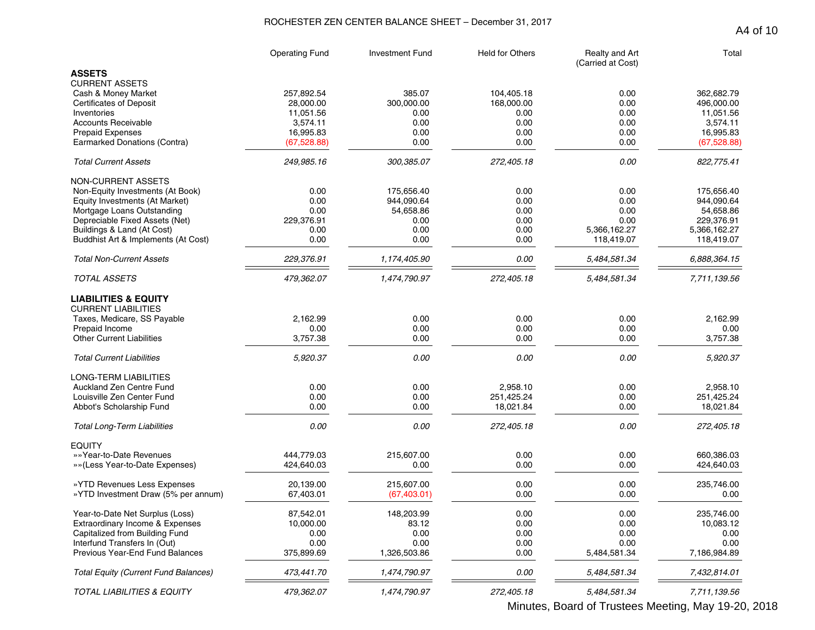### ROCHESTER ZEN CENTER BALANCE SHEET – December 31, 2017

|                                             | <b>Operating Fund</b> | <b>Investment Fund</b> | <b>Held for Others</b> | Realty and Art<br>(Carried at Cost) | Total        |
|---------------------------------------------|-----------------------|------------------------|------------------------|-------------------------------------|--------------|
| <b>ASSETS</b><br><b>CURRENT ASSETS</b>      |                       |                        |                        |                                     |              |
| Cash & Money Market                         | 257,892.54            | 385.07                 | 104,405.18             | 0.00                                | 362,682.79   |
| <b>Certificates of Deposit</b>              | 28,000.00             | 300,000.00             | 168,000.00             | 0.00                                | 496.000.00   |
| Inventories                                 | 11,051.56             | 0.00                   | 0.00                   | 0.00                                | 11,051.56    |
| <b>Accounts Receivable</b>                  | 3,574.11              | 0.00                   | 0.00                   | 0.00                                | 3,574.11     |
| <b>Prepaid Expenses</b>                     | 16,995.83             | 0.00                   | 0.00                   | 0.00                                | 16,995.83    |
| Earmarked Donations (Contra)                | (67, 528.88)          | 0.00                   | 0.00                   | 0.00                                | (67, 528.88) |
| <b>Total Current Assets</b>                 | 249,985.16            | 300,385.07             | 272,405.18             | 0.00                                | 822,775.41   |
| <b>NON-CURRENT ASSETS</b>                   |                       |                        |                        |                                     |              |
| Non-Equity Investments (At Book)            | 0.00                  | 175,656.40             | 0.00                   | 0.00                                | 175,656.40   |
| Equity Investments (At Market)              | 0.00                  | 944,090.64             | 0.00                   | 0.00                                | 944,090.64   |
| Mortgage Loans Outstanding                  | 0.00                  | 54,658.86              | 0.00                   | 0.00                                | 54,658.86    |
| Depreciable Fixed Assets (Net)              | 229,376.91            | 0.00                   | 0.00                   | 0.00                                | 229,376.91   |
| Buildings & Land (At Cost)                  | 0.00                  | 0.00                   | 0.00                   | 5,366,162.27                        | 5,366,162.27 |
| Buddhist Art & Implements (At Cost)         | 0.00                  | 0.00                   | 0.00                   | 118,419.07                          | 118,419.07   |
| <b>Total Non-Current Assets</b>             | 229,376.91            | 1,174,405.90           | 0.00                   | 5,484,581.34                        | 6,888,364.15 |
| <b>TOTAL ASSETS</b>                         | 479,362.07            | 1,474,790.97           | 272,405.18             | 5,484,581.34                        | 7,711,139.56 |
| <b>LIABILITIES &amp; EQUITY</b>             |                       |                        |                        |                                     |              |
| <b>CURRENT LIABILITIES</b>                  |                       |                        |                        |                                     |              |
| Taxes, Medicare, SS Payable                 | 2,162.99              | 0.00                   | 0.00                   | 0.00                                | 2,162.99     |
| Prepaid Income                              | 0.00                  | 0.00                   | 0.00                   | 0.00                                | 0.00         |
| <b>Other Current Liabilities</b>            | 3,757.38              | 0.00                   | 0.00                   | 0.00                                | 3,757.38     |
| <b>Total Current Liabilities</b>            | 5,920.37              | 0.00                   | 0.00                   | 0.00                                | 5,920.37     |
| LONG-TERM LIABILITIES                       |                       |                        |                        |                                     |              |
| Auckland Zen Centre Fund                    | 0.00                  | 0.00                   | 2,958.10               | 0.00                                | 2,958.10     |
| Louisville Zen Center Fund                  | 0.00                  | 0.00                   | 251,425.24             | 0.00                                | 251,425.24   |
| Abbot's Scholarship Fund                    | 0.00                  | 0.00                   | 18,021.84              | 0.00                                | 18,021.84    |
| <b>Total Long-Term Liabilities</b>          | 0.00                  | 0.00                   | 272,405.18             | 0.00                                | 272,405.18   |
| EQUITY                                      |                       |                        |                        |                                     |              |
| »»Year-to-Date Revenues                     | 444.779.03            | 215,607.00             | 0.00                   | 0.00                                | 660,386.03   |
| »»(Less Year-to-Date Expenses)              | 424,640.03            | 0.00                   | 0.00                   | 0.00                                | 424,640.03   |
| » YTD Revenues Less Expenses                | 20,139.00             | 215,607.00             | 0.00                   | 0.00                                | 235,746.00   |
| »YTD Investment Draw (5% per annum)         | 67,403.01             | (67, 403.01)           | 0.00                   | 0.00                                | 0.00         |
| Year-to-Date Net Surplus (Loss)             | 87,542.01             | 148,203.99             | 0.00                   | 0.00                                | 235,746.00   |
| Extraordinary Income & Expenses             | 10,000.00             | 83.12                  | 0.00                   | 0.00                                | 10,083.12    |
| Capitalized from Building Fund              | 0.00                  | 0.00                   | 0.00                   | 0.00                                | 0.00         |
| Interfund Transfers In (Out)                | 0.00                  | 0.00                   | 0.00                   | 0.00                                | 0.00         |
| Previous Year-End Fund Balances             | 375,899.69            | 1,326,503.86           | 0.00                   | 5,484,581.34                        | 7,186,984.89 |
| <b>Total Equity (Current Fund Balances)</b> | 473,441.70            | 1,474,790.97           | 0.00                   | 5,484,581.34                        | 7,432,814.01 |
| TOTAL LIABILITIES & EQUITY                  | 479,362.07            | 1,474,790.97           | 272,405.18             | 5,484,581.34                        | 7,711,139.56 |

A4 of 10

Minutes, Board of Trustees Meeting, May 19-20, 2018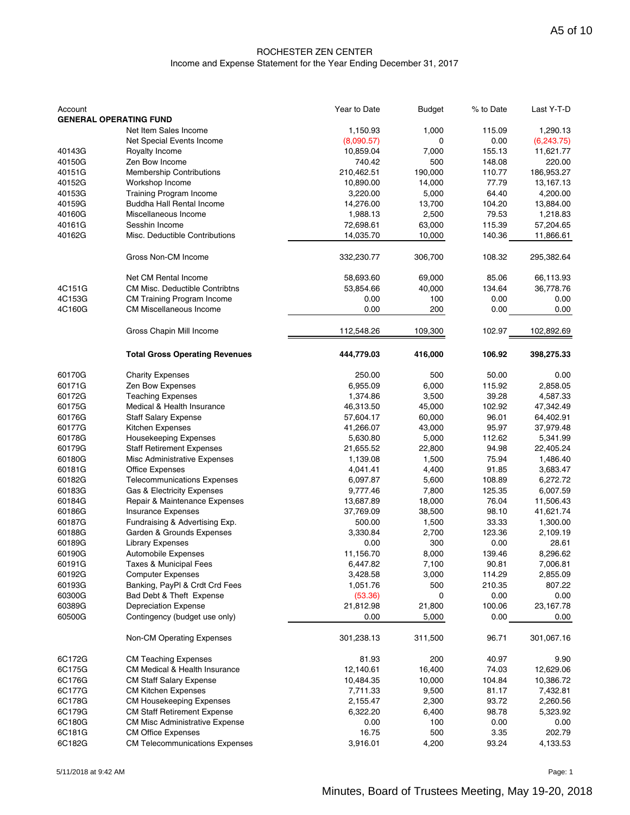#### ROCHESTER ZEN CENTER Income and Expense Statement for the Year Ending December 31, 2017

| Account | <b>GENERAL OPERATING FUND</b>                                | Year to Date | <b>Budget</b>   | % to Date | Last Y-T-D |
|---------|--------------------------------------------------------------|--------------|-----------------|-----------|------------|
|         | Net Item Sales Income                                        | 1,150.93     | 1,000           | 115.09    | 1,290.13   |
|         | Net Special Events Income                                    | (8,090.57)   | 0               | 0.00      | (6,243.75) |
| 40143G  | Royalty Income                                               | 10,859.04    | 7,000           | 155.13    | 11,621.77  |
| 40150G  | Zen Bow Income                                               | 740.42       | 500             | 148.08    | 220.00     |
| 40151G  | <b>Membership Contributions</b>                              | 210,462.51   | 190,000         | 110.77    | 186,953.27 |
| 40152G  | Workshop Income                                              | 10,890.00    | 14,000          | 77.79     | 13,167.13  |
| 40153G  | <b>Training Program Income</b>                               | 3,220.00     | 5,000           | 64.40     | 4,200.00   |
| 40159G  | <b>Buddha Hall Rental Income</b>                             | 14,276.00    | 13,700          | 104.20    | 13,884.00  |
| 40160G  | Miscellaneous Income                                         | 1,988.13     | 2,500           | 79.53     | 1,218.83   |
| 40161G  | Sesshin Income                                               | 72,698.61    | 63,000          | 115.39    | 57,204.65  |
| 40162G  | Misc. Deductible Contributions                               | 14,035.70    | 10,000          | 140.36    | 11,866.61  |
|         |                                                              |              |                 |           |            |
|         | Gross Non-CM Income                                          | 332,230.77   | 306,700         | 108.32    | 295,382.64 |
|         | Net CM Rental Income                                         | 58,693.60    | 69,000          | 85.06     | 66,113.93  |
| 4C151G  | <b>CM Misc. Deductible Contribtns</b>                        | 53,854.66    | 40,000          | 134.64    | 36,778.76  |
| 4C153G  | CM Training Program Income                                   | 0.00         | 100             | 0.00      | 0.00       |
| 4C160G  | <b>CM Miscellaneous Income</b>                               | 0.00         | 200             | 0.00      | 0.00       |
|         |                                                              |              |                 |           |            |
|         | Gross Chapin Mill Income                                     | 112,548.26   | 109,300         | 102.97    | 102,892.69 |
|         | <b>Total Gross Operating Revenues</b>                        | 444,779.03   | 416,000         | 106.92    | 398,275.33 |
| 60170G  | <b>Charity Expenses</b>                                      | 250.00       | 500             | 50.00     | 0.00       |
| 60171G  | Zen Bow Expenses                                             | 6,955.09     | 6,000           | 115.92    | 2,858.05   |
| 60172G  | <b>Teaching Expenses</b>                                     | 1,374.86     | 3,500           | 39.28     | 4,587.33   |
| 60175G  | Medical & Health Insurance                                   | 46,313.50    | 45,000          | 102.92    | 47,342.49  |
| 60176G  | <b>Staff Salary Expense</b>                                  | 57,604.17    | 60,000          | 96.01     | 64,402.91  |
| 60177G  | Kitchen Expenses                                             | 41,266.07    | 43,000          | 95.97     | 37,979.48  |
| 60178G  | <b>Housekeeping Expenses</b>                                 | 5,630.80     | 5,000           | 112.62    | 5,341.99   |
| 60179G  | <b>Staff Retirement Expenses</b>                             | 21,655.52    | 22,800          | 94.98     | 22,405.24  |
| 60180G  | Misc Administrative Expenses                                 | 1,139.08     | 1,500           | 75.94     | 1,486.40   |
| 60181G  | <b>Office Expenses</b>                                       | 4,041.41     | 4,400           | 91.85     | 3,683.47   |
| 60182G  | <b>Telecommunications Expenses</b>                           | 6,097.87     | 5,600           | 108.89    | 6,272.72   |
| 60183G  | Gas & Electricity Expenses                                   | 9,777.46     | 7,800           | 125.35    | 6,007.59   |
| 60184G  | Repair & Maintenance Expenses                                | 13,687.89    | 18,000          | 76.04     | 11,506.43  |
| 60186G  | <b>Insurance Expenses</b>                                    | 37,769.09    | 38,500          | 98.10     | 41,621.74  |
| 60187G  | Fundraising & Advertising Exp.                               | 500.00       | 1,500           | 33.33     | 1,300.00   |
| 60188G  | Garden & Grounds Expenses                                    | 3,330.84     | 2,700           | 123.36    | 2,109.19   |
| 60189G  | <b>Library Expenses</b>                                      | 0.00         | 300             | 0.00      | 28.61      |
| 60190G  | Automobile Expenses                                          | 11,156.70    | 8,000           | 139.46    | 8,296.62   |
| 60191G  | Taxes & Municipal Fees                                       | 6,447.82     | 7,100           | 90.81     | 7,006.81   |
| 60192G  | <b>Computer Expenses</b>                                     | 3,428.58     | 3,000           | 114.29    | 2,855.09   |
| 60193G  | Banking, PayPI & Crdt Crd Fees                               | 1,051.76     | 500             | 210.35    | 807.22     |
| 60300G  | Bad Debt & Theft Expense                                     | (53.36)      | 0               | 0.00      | 0.00       |
| 60389G  |                                                              | 21,812.98    |                 | 100.06    | 23,167.78  |
| 60500G  | <b>Depreciation Expense</b><br>Contingency (budget use only) | 0.00         | 21,800<br>5,000 | 0.00      | 0.00       |
|         |                                                              |              |                 |           |            |
|         | <b>Non-CM Operating Expenses</b>                             | 301,238.13   | 311,500         | 96.71     | 301,067.16 |
| 6C172G  | <b>CM Teaching Expenses</b>                                  | 81.93        | 200             | 40.97     | 9.90       |
| 6C175G  | CM Medical & Health Insurance                                | 12,140.61    | 16,400          | 74.03     | 12,629.06  |
| 6C176G  | <b>CM Staff Salary Expense</b>                               | 10,484.35    | 10,000          | 104.84    | 10,386.72  |
| 6C177G  | <b>CM Kitchen Expenses</b>                                   | 7,711.33     | 9,500           | 81.17     | 7,432.81   |
| 6C178G  | <b>CM Housekeeping Expenses</b>                              | 2,155.47     | 2,300           | 93.72     | 2,260.56   |
| 6C179G  | <b>CM Staff Retirement Expense</b>                           | 6,322.20     | 6,400           | 98.78     | 5,323.92   |
| 6C180G  | <b>CM Misc Administrative Expense</b>                        | 0.00         | 100             | 0.00      | 0.00       |
| 6C181G  | <b>CM Office Expenses</b>                                    | 16.75        | 500             | 3.35      | 202.79     |
| 6C182G  | <b>CM Telecommunications Expenses</b>                        | 3,916.01     | 4,200           | 93.24     | 4,133.53   |
|         |                                                              |              |                 |           |            |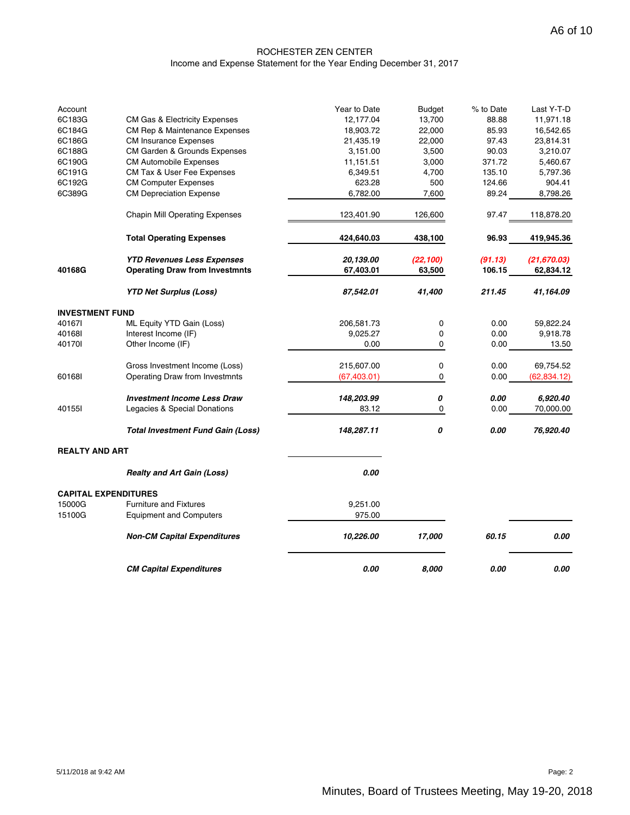#### ROCHESTER ZEN CENTER Income and Expense Statement for the Year Ending December 31, 2017

| Account                |                                          | Year to Date | <b>Budget</b> | % to Date | Last Y-T-D   |
|------------------------|------------------------------------------|--------------|---------------|-----------|--------------|
| 6C183G                 | <b>CM Gas &amp; Electricity Expenses</b> | 12,177.04    | 13,700        | 88.88     | 11,971.18    |
| 6C184G                 | CM Rep & Maintenance Expenses            | 18,903.72    | 22,000        | 85.93     | 16,542.65    |
| 6C186G                 | <b>CM Insurance Expenses</b>             | 21,435.19    | 22,000        | 97.43     | 23,814.31    |
| 6C188G                 | CM Garden & Grounds Expenses             | 3,151.00     | 3,500         | 90.03     | 3,210.07     |
| 6C190G                 | <b>CM Automobile Expenses</b>            | 11,151.51    | 3,000         | 371.72    | 5,460.67     |
| 6C191G                 | CM Tax & User Fee Expenses               | 6,349.51     | 4,700         | 135.10    | 5,797.36     |
| 6C192G                 | <b>CM Computer Expenses</b>              | 623.28       | 500           | 124.66    | 904.41       |
| 6C389G                 | <b>CM Depreciation Expense</b>           | 6,782.00     | 7,600         | 89.24     | 8,798.26     |
|                        | <b>Chapin Mill Operating Expenses</b>    | 123,401.90   | 126,600       | 97.47     | 118,878.20   |
|                        | <b>Total Operating Expenses</b>          | 424,640.03   | 438,100       | 96.93     | 419,945.36   |
|                        | <b>YTD Revenues Less Expenses</b>        | 20,139.00    | (22, 100)     | (91.13)   | (21, 670.03) |
| 40168G                 | <b>Operating Draw from Investmnts</b>    | 67,403.01    | 63,500        | 106.15    | 62,834.12    |
|                        | <b>YTD Net Surplus (Loss)</b>            | 87,542.01    | 41,400        | 211.45    | 41,164.09    |
| <b>INVESTMENT FUND</b> |                                          |              |               |           |              |
| 401671                 | ML Equity YTD Gain (Loss)                | 206,581.73   | 0             | 0.00      | 59,822.24    |
| 401681                 | Interest Income (IF)                     | 9,025.27     | 0             | 0.00      | 9,918.78     |
| 401701                 | Other Income (IF)                        | 0.00         | 0             | 0.00      | 13.50        |
|                        | Gross Investment Income (Loss)           | 215,607.00   | 0             | 0.00      | 69,754.52    |
| 601681                 | Operating Draw from Investmnts           | (67, 403.01) | 0             | 0.00      | (62, 834.12) |
|                        | <b>Investment Income Less Draw</b>       | 148,203.99   | 0             | 0.00      | 6,920.40     |
| 40155I                 | Legacies & Special Donations             | 83.12        | 0             | 0.00      | 70,000.00    |
|                        | <b>Total Investment Fund Gain (Loss)</b> | 148,287.11   | 0             | 0.00      | 76,920.40    |
| <b>REALTY AND ART</b>  |                                          |              |               |           |              |
|                        | <b>Realty and Art Gain (Loss)</b>        | 0.00         |               |           |              |
|                        | <b>CAPITAL EXPENDITURES</b>              |              |               |           |              |
| 15000G                 | <b>Furniture and Fixtures</b>            | 9,251.00     |               |           |              |
| 15100G                 | <b>Equipment and Computers</b>           | 975.00       |               |           |              |
|                        | <b>Non-CM Capital Expenditures</b>       | 10,226.00    | 17,000        | 60.15     | 0.00         |
|                        | <b>CM Capital Expenditures</b>           | 0.00         | 8.000         | 0.00      | 0.00         |

5/11/2018 at 9:42 AM Page: 2 Minutes, Board of Trustees Meeting, May 19-20, 2018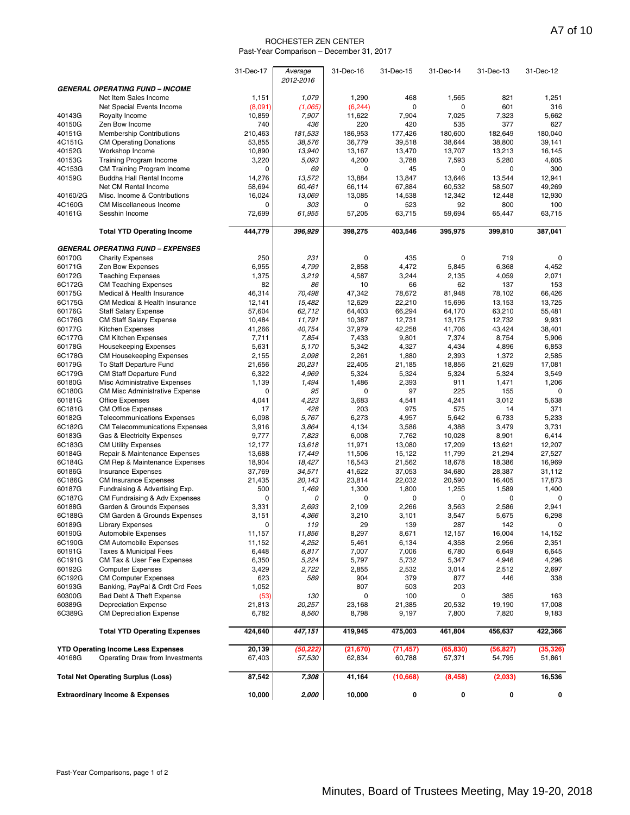#### ROCHESTER ZEN CENTER Past-Year Comparison – December 31, 2017

|                  |                                                                     | 31-Dec-17       | Average         | 31-Dec-16       | 31-Dec-15       | 31-Dec-14       | 31-Dec-13       | 31-Dec-12       |
|------------------|---------------------------------------------------------------------|-----------------|-----------------|-----------------|-----------------|-----------------|-----------------|-----------------|
|                  | <b>GENERAL OPERATING FUND - INCOME</b>                              |                 | 2012-2016       |                 |                 |                 |                 |                 |
|                  | Net Item Sales Income                                               | 1,151           | 1,079           | 1,290           | 468             | 1,565           | 821             | 1,251           |
|                  | Net Special Events Income                                           | (8,091)         | (1,065)         | (6, 244)        | $\mathbf 0$     | $\mathbf 0$     | 601             | 316             |
| 40143G           | Royalty Income                                                      | 10,859          | 7,907           | 11,622          | 7,904           | 7,025           | 7,323           | 5,662           |
| 40150G           | Zen Bow Income                                                      | 740             | 436             | 220             | 420             | 535             | 377             | 627             |
| 40151G           | <b>Membership Contributions</b>                                     | 210,463         | 181,533         | 186,953         | 177,426         | 180.600         | 182.649         | 180,040         |
| 4C151G           | <b>CM Operating Donations</b>                                       | 53,855          | 38,576          | 36,779          | 39,518          | 38,644          | 38,800          | 39,141          |
| 40152G<br>40153G | Workshop Income<br><b>Training Program Income</b>                   | 10,890<br>3,220 | 13,940<br>5,093 | 13,167<br>4,200 | 13,470<br>3,788 | 13,707<br>7,593 | 13,213<br>5,280 | 16,145<br>4,605 |
| 4C153G           | <b>CM Training Program Income</b>                                   | 0               | 69              | 0               | 45              | $\mathbf 0$     | 0               | 300             |
| 40159G           | Buddha Hall Rental Income                                           | 14,276          | 13,572          | 13,884          | 13,847          | 13,646          | 13,544          | 12,941          |
|                  | Net CM Rental Income                                                | 58,694          | 60,461          | 66,114          | 67,884          | 60,532          | 58,507          | 49,269          |
| 40160/2G         | Misc. Income & Contributions                                        | 16,024          | 13,069          | 13,085          | 14,538          | 12,342          | 12,448          | 12,930          |
| 4C160G           | <b>CM Miscellaneous Income</b>                                      | 0               | 303             | 0               | 523             | 92              | 800             | 100             |
| 40161G           | Sesshin Income                                                      | 72,699          | 61,955          | 57,205          | 63,715          | 59,694          | 65,447          | 63,715          |
|                  | <b>Total YTD Operating Income</b>                                   | 444,779         | 396,929         | 398,275         | 403,546         | 395,975         | 399,810         | 387,041         |
|                  | <b>GENERAL OPERATING FUND - EXPENSES</b>                            |                 |                 |                 |                 |                 |                 |                 |
| 60170G           | <b>Charity Expenses</b>                                             | 250             | 231             | 0               | 435             | $\mathbf 0$     | 719             | 0               |
| 60171G           | Zen Bow Expenses                                                    | 6,955           | 4,799           | 2,858           | 4,472           | 5,845           | 6,368           | 4,452           |
| 60172G           | <b>Teaching Expenses</b>                                            | 1,375           | 3,219           | 4,587           | 3,244           | 2,135           | 4,059           | 2,071           |
| 6C172G<br>60175G | <b>CM Teaching Expenses</b><br>Medical & Health Insurance           | 82<br>46,314    | 86<br>70,498    | 10<br>47,342    | 66<br>78,672    | 62<br>81,948    | 137<br>78,102   | 153<br>66.426   |
| 6C175G           | CM Medical & Health Insurance                                       | 12,141          | 15,482          | 12,629          | 22,210          | 15,696          | 13,153          | 13,725          |
| 60176G           | <b>Staff Salary Expense</b>                                         | 57,604          | 62,712          | 64,403          | 66,294          | 64,170          | 63,210          | 55,481          |
| 6C176G           | <b>CM Staff Salary Expense</b>                                      | 10,484          | 11,791          | 10,387          | 12,731          | 13,175          | 12,732          | 9,931           |
| 60177G           | Kitchen Expenses                                                    | 41,266          | 40,754          | 37,979          | 42,258          | 41,706          | 43,424          | 38,401          |
| 6C177G           | <b>CM Kitchen Expenses</b>                                          | 7,711           | 7,854           | 7,433           | 9,801           | 7,374           | 8,754           | 5,906           |
| 60178G           | <b>Housekeeping Expenses</b>                                        | 5,631           | 5,170           | 5,342           | 4,327           | 4,434           | 4,896           | 6,853           |
| 6C178G<br>60179G | <b>CM Housekeeping Expenses</b><br>To Staff Departure Fund          | 2,155<br>21,656 | 2,098<br>20,231 | 2,261<br>22,405 | 1,880<br>21,185 | 2,393<br>18,856 | 1,372<br>21,629 | 2,585<br>17,081 |
| 6C179G           | CM Staff Departure Fund                                             | 6,322           | 4,969           | 5,324           | 5,324           | 5,324           | 5,324           | 3,549           |
| 60180G           | Misc Administrative Expenses                                        | 1,139           | 1,494           | 1,486           | 2,393           | 911             | 1,471           | 1,206           |
| 6C180G           | <b>CM Misc Administrative Expense</b>                               | 0               | 95              | 0               | 97              | 225             | 155             | $\mathbf 0$     |
| 60181G           | <b>Office Expenses</b>                                              | 4,041           | 4,223           | 3,683           | 4,541           | 4,241           | 3,012           | 5,638           |
| 6C181G           | <b>CM Office Expenses</b>                                           | 17              | 428             | 203             | 975             | 575             | 14              | 371             |
| 60182G<br>6C182G | <b>Telecommunications Expenses</b>                                  | 6,098<br>3,916  | 5,767<br>3,864  | 6,273<br>4,134  | 4,957           | 5,642           | 6,733           | 5,233<br>3,731  |
| 60183G           | <b>CM Telecommunications Expenses</b><br>Gas & Electricity Expenses | 9,777           | 7,823           | 6,008           | 3,586<br>7,762  | 4,388<br>10,028 | 3,479<br>8,901  | 6,414           |
| 6C183G           | <b>CM Utility Expenses</b>                                          | 12,177          | 13,618          | 11,971          | 13,080          | 17,209          | 13,621          | 12,207          |
| 60184G           | Repair & Maintenance Expenses                                       | 13,688          | 17,449          | 11,506          | 15,122          | 11,799          | 21,294          | 27,527          |
| 6C184G           | <b>CM Rep &amp; Maintenance Expenses</b>                            | 18,904          | 18,427          | 16,543          | 21,562          | 18,678          | 18,386          | 16,969          |
| 60186G           | <b>Insurance Expenses</b>                                           | 37,769          | 34,571          | 41,622          | 37,053          | 34,680          | 28,387          | 31,112          |
| 6C186G<br>60187G | <b>CM Insurance Expenses</b>                                        | 21,435<br>500   | 20,143<br>1,469 | 23,814<br>1,300 | 22,032<br>1,800 | 20,590<br>1,255 | 16,405<br>1,589 | 17,873<br>1,400 |
| 6C187G           | Fundraising & Advertising Exp.<br>CM Fundraising & Adv Expenses     | 0               | 0               | $\mathbf 0$     | 0               | 0               | 0               | $\mathbf 0$     |
| 60188G           | Garden & Grounds Expenses                                           | 3,331           | 2,693           | 2,109           | 2,266           | 3,563           | 2,586           | 2,941           |
| 6C188G           | CM Garden & Grounds Expenses                                        | 3,151           | 4,366           | 3,210           | 3,101           | 3,547           | 5,675           | 6,298           |
| 60189G           | <b>Library Expenses</b>                                             | 0               | 119             | 29              | 139             | 287             | 142             | 0               |
| 60190G           | Automobile Expenses                                                 | 11,157          | 11,856          | 8,297           | 8,671           | 12,157          | 16,004          | 14,152          |
| 6C190G           | <b>CM Automobile Expenses</b>                                       | 11,152          | 4,252           | 5,461           | 6,134           | 4,358           | 2,956           | 2,351           |
| 60191G<br>6C191G | <b>Taxes &amp; Municipal Fees</b><br>CM Tax & User Fee Expenses     | 6,448<br>6,350  | 6,817<br>5,224  | 7,007<br>5,797  | 7,006<br>5,732  | 6,780<br>5,347  | 6,649<br>4,946  | 6,645<br>4,296  |
| 60192G           | <b>Computer Expenses</b>                                            | 3,429           | 2,722           | 2,855           | 2,532           | 3,014           | 2,512           | 2,697           |
| 6C192G           | <b>CM Computer Expenses</b>                                         | 623             | 589             | 904             | 379             | 877             | 446             | 338             |
| 60193G           | Banking, PayPal & Crdt Crd Fees                                     | 1,052           |                 | 807             | 503             | 203             |                 |                 |
| 60300G           | Bad Debt & Theft Expense                                            | (53)            | 130             | 0               | 100             | $\mathbf 0$     | 385             | 163             |
| 60389G           | <b>Depreciation Expense</b>                                         | 21,813          | 20,257          | 23,168          | 21,385          | 20,532          | 19,190          | 17,008          |
| 6C389G           | <b>CM Depreciation Expense</b>                                      | 6,782           | 8,560           | 8,798           | 9,197           | 7,800           | 7,820           | 9,183           |
|                  | <b>Total YTD Operating Expenses</b>                                 | 424,640         | 447,151         | 419,945         | 475,003         | 461,804         | 456,637         | 422,366         |
|                  | <b>YTD Operating Income Less Expenses</b>                           | 20,139          | (50, 222)       | (21, 670)       | (71, 457)       | (65, 830)       | (56, 827)       | (35, 326)       |
| 40168G           | Operating Draw from Investments                                     | 67,403          | 57,530          | 62,834          | 60,788          | 57,371          | 54,795          | 51,861          |
|                  | <b>Total Net Operating Surplus (Loss)</b>                           | 87,542          | 7,308           | 41,164          | (10, 668)       | (8, 458)        | (2,033)         | 16,536          |
|                  | <b>Extraordinary Income &amp; Expenses</b>                          | 10,000          | 2,000           | 10,000          | 0               | 0               | 0               | 0               |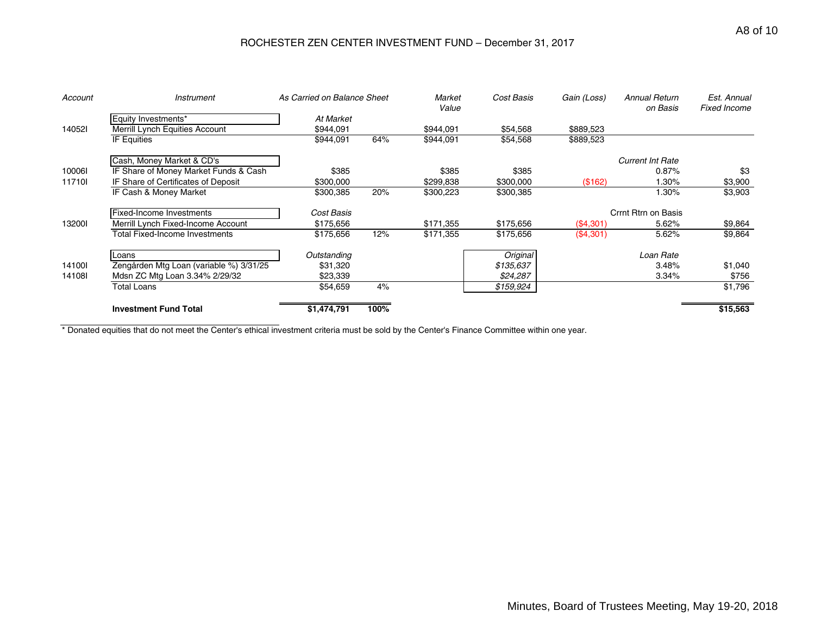## ROCHESTER ZEN CENTER INVESTMENT FUND – December 31, 2017

| Account | <i><b>Instrument</b></i>                | As Carried on Balance Sheet |      | Market<br>Value | Cost Basis | Gain (Loss) | <b>Annual Return</b><br>on Basis | Est. Annual<br><b>Fixed Income</b> |
|---------|-----------------------------------------|-----------------------------|------|-----------------|------------|-------------|----------------------------------|------------------------------------|
|         | Equity Investments*                     | At Market                   |      |                 |            |             |                                  |                                    |
| 140521  | Merrill Lynch Equities Account          | \$944,091                   |      | \$944,091       | \$54,568   | \$889,523   |                                  |                                    |
|         | IF Equities                             | \$944,091                   | 64%  | \$944,091       | \$54,568   | \$889,523   |                                  |                                    |
|         | Cash, Money Market & CD's               |                             |      |                 |            |             | <b>Current Int Rate</b>          |                                    |
| 100061  | IF Share of Money Market Funds & Cash   | \$385                       |      | \$385           | \$385      |             | 0.87%                            | \$3                                |
| 117101  | IF Share of Certificates of Deposit     | \$300,000                   |      | \$299,838       | \$300,000  | (\$162)     | $.30\%$                          | \$3,900                            |
|         | IF Cash & Money Market                  | \$300,385                   | 20%  | \$300,223       | \$300,385  |             | $1.30\%$                         | \$3,903                            |
|         | Fixed-Income Investments                | Cost Basis                  |      |                 |            |             | Crrnt Rtrn on Basis              |                                    |
| 132001  | Merrill Lynch Fixed-Income Account      | \$175,656                   |      | \$171,355       | \$175,656  | (\$4,301)   | 5.62%                            | \$9,864                            |
|         | Total Fixed-Income Investments          | \$175,656                   | 12%  | \$171,355       | \$175,656  | (\$4,301)   | 5.62%                            | \$9,864                            |
|         | Loans                                   | Outstanding                 |      |                 | Original   |             | Loan Rate                        |                                    |
| 141001  | Zengården Mtg Loan (variable %) 3/31/25 | \$31,320                    |      |                 | \$135,637  |             | 3.48%                            | \$1,040                            |
| 141081  | Mdsn ZC Mtg Loan 3.34% 2/29/32          | \$23,339                    |      |                 | \$24,287   |             | 3.34%                            | \$756                              |
|         | Total Loans                             | \$54,659                    | 4%   |                 | \$159,924  |             |                                  | \$1,796                            |
|         | <b>Investment Fund Total</b>            | \$1,474,791                 | 100% |                 |            |             |                                  | \$15,563                           |

\* Donated equities that do not meet the Center's ethical investment criteria must be sold by the Center's Finance Committee within one year.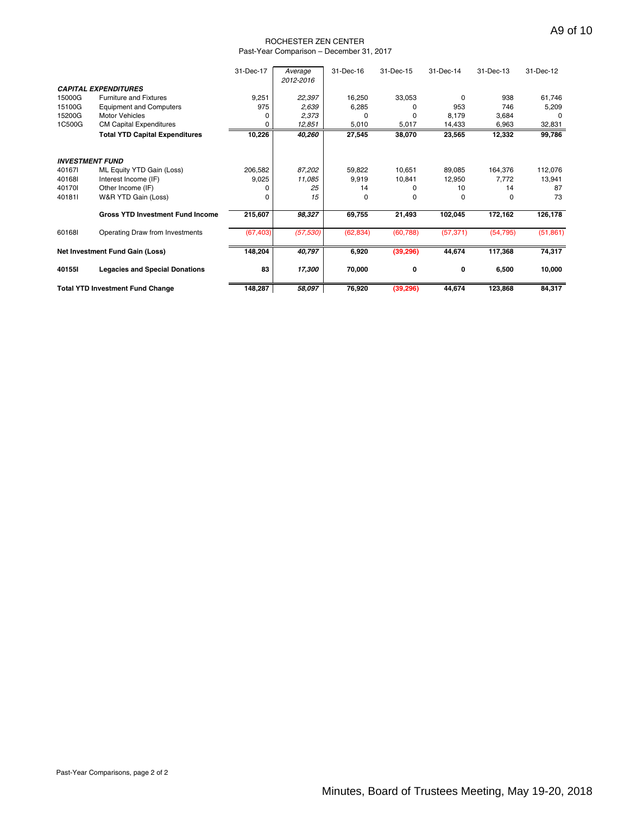#### ROCHESTER ZEN CENTER Past-Year Comparison – December 31, 2017

|        |                                         | 31-Dec-17 | Average<br>2012-2016 | 31-Dec-16 | 31-Dec-15 | 31-Dec-14 | 31-Dec-13 | 31-Dec-12    |
|--------|-----------------------------------------|-----------|----------------------|-----------|-----------|-----------|-----------|--------------|
|        | <b>CAPITAL EXPENDITURES</b>             |           |                      |           |           |           |           |              |
| 15000G | <b>Furniture and Fixtures</b>           | 9,251     | 22,397               | 16,250    | 33,053    | $\Omega$  | 938       | 61,746       |
| 15100G | <b>Equipment and Computers</b>          | 975       | 2,639                | 6,285     | n         | 953       | 746       | 5,209        |
| 15200G | <b>Motor Vehicles</b>                   |           | 2,373                | 0         | 0         | 8,179     | 3,684     | <sup>0</sup> |
| 1C500G | <b>CM Capital Expenditures</b>          |           | 12,851               | 5,010     | 5,017     | 14,433    | 6,963     | 32,831       |
|        | <b>Total YTD Capital Expenditures</b>   | 10,226    | 40,260               | 27,545    | 38,070    | 23,565    | 12,332    | 99,786       |
|        | <b>INVESTMENT FUND</b>                  |           |                      |           |           |           |           |              |
| 401671 | ML Equity YTD Gain (Loss)               | 206,582   | 87,202               | 59,822    | 10,651    | 89.085    | 164,376   | 112,076      |
| 40168I | Interest Income (IF)                    | 9,025     | 11,085               | 9,919     | 10,841    | 12,950    | 7,772     | 13,941       |
| 401701 | Other Income (IF)                       |           | 25                   | 14        |           | 10        | 14        | 87           |
| 401811 | W&R YTD Gain (Loss)                     |           | 15                   | $\Omega$  | 0         | 0         | 0         | 73           |
|        | <b>Gross YTD Investment Fund Income</b> | 215,607   | 98,327               | 69,755    | 21,493    | 102,045   | 172,162   | 126,178      |
| 601681 | Operating Draw from Investments         | (67, 403) | (57, 530)            | (62, 834) | (60, 788) | (57, 371) | (54, 795) | (51, 861)    |
|        | Net Investment Fund Gain (Loss)         | 148,204   | 40,797               | 6,920     | (39, 296) | 44,674    | 117,368   | 74,317       |
| 40155I | <b>Legacies and Special Donations</b>   | 83        | 17,300               | 70,000    | 0         | 0         | 6,500     | 10,000       |
|        | <b>Total YTD Investment Fund Change</b> | 148,287   | 58,097               | 76,920    | (39, 296) | 44,674    | 123,868   | 84,317       |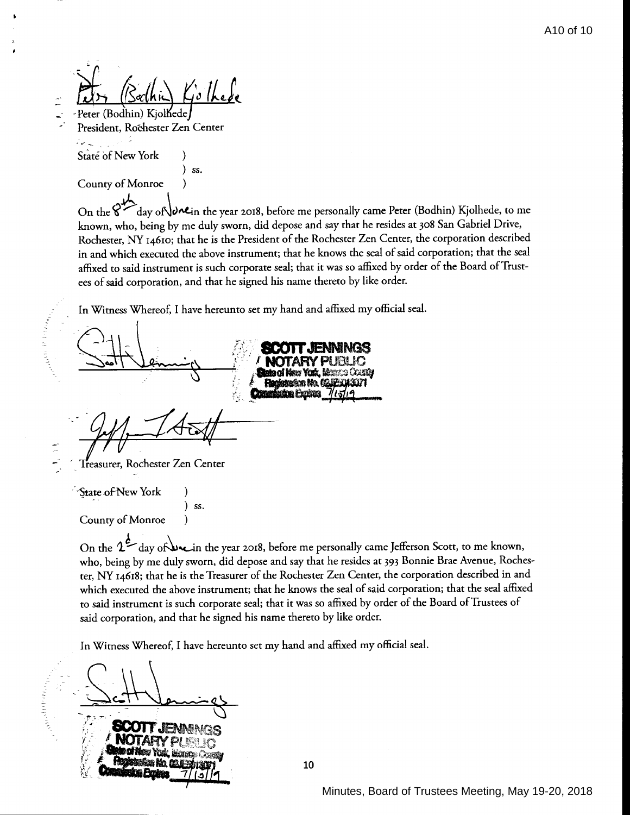$\frac{1}{4}$  these

-Peter (Bodhin) Kjolhede President, Rochester Zen Center

يدامونه State of New York (b)

 $\frac{1}{2}$ 

È

) ss. County of Monroe (b)

On the  $\mathcal{C}^{\mathcal{U}}$  day of  $\bigcup_{\alpha\in\mathbb{N}}$  the year 2018, before me personally came Peter (Bodhin) Kjolhede, to me known, who, being by me duly sworn, did depose and say that he resides at 308 San Gabriel Drive, Rochester, NY 14610; that he is the President of the Rochester Zen Center, the corporation described in and which executed the above instrument; that he knows the seal of said corporation; that the seal affixed to said instrument is such corporate seal; that it was so affixed by order of the Board of Trustees of said corporation, and that he signed his name thereto by like order.

In Witness Whereof, I have hereunto set my hand and affixed my official seal.

) SS.

Treasurer, Rochester Zen Center

·''State of-New York )

County of Monroe

--

 $(311)$ 

On the  $2^{\frac{d}{2}}$  day of un the year 2018, before me personally came Jefferson Scott, to me known, who, being by me duly sworn, did depose and say that he resides at 393 Bonnie Brae Avenue, Rochester, NY 14618; that he is the Treasurer of the Rochester Zen Center, the corporation described in and which executed the above instrument; that he knows the seal of said corporation; that the seal affixed co said instrument is such corporate seal; that it was so affixed by order of the Board of Trustees of said corporation, and that he signed his name thereto by like order.

In Witness Whereof, I have hereunto set my hand and affixed my official seal.

10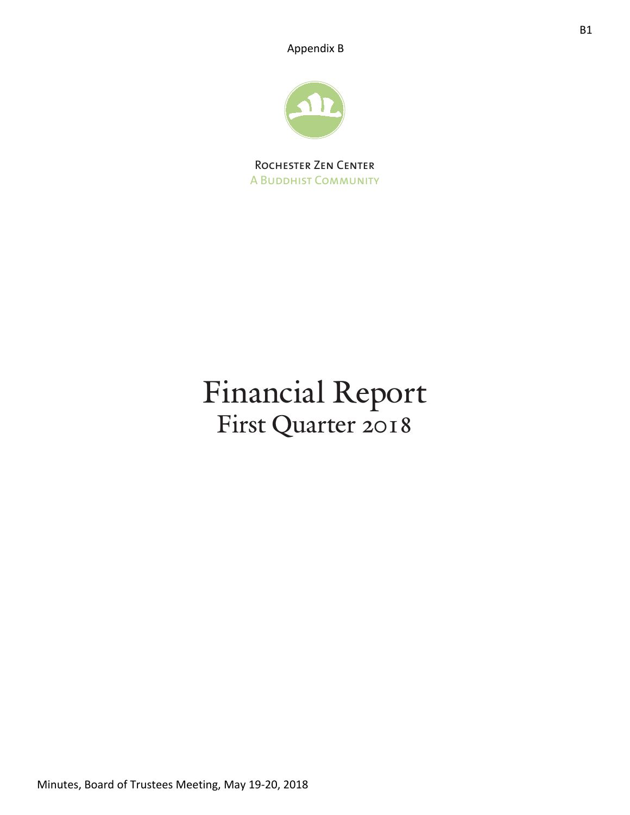Appendix B



Rochester Zen Center A Buddhist Community

# Financial Report First Quarter 2018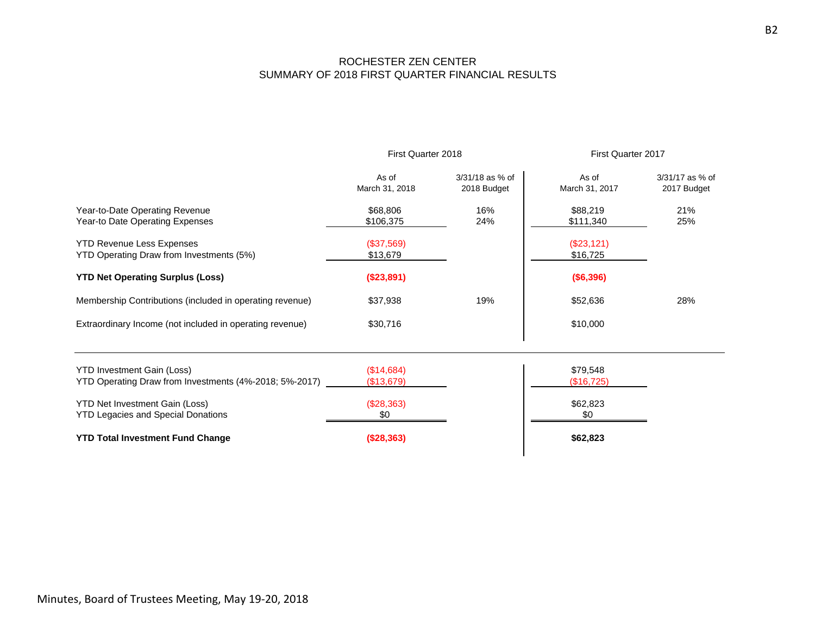### ROCHESTER ZEN CENTER SUMMARY OF 2018 FIRST QUARTER FINANCIAL RESULTS

|                                                                                             | First Quarter 2018       |                                | First Quarter 2017       |                                |
|---------------------------------------------------------------------------------------------|--------------------------|--------------------------------|--------------------------|--------------------------------|
|                                                                                             | As of<br>March 31, 2018  | 3/31/18 as % of<br>2018 Budget | As of<br>March 31, 2017  | 3/31/17 as % of<br>2017 Budget |
| Year-to-Date Operating Revenue<br>Year-to Date Operating Expenses                           | \$68,806<br>\$106,375    | 16%<br>24%                     | \$88,219<br>\$111,340    | 21%<br>25%                     |
| <b>YTD Revenue Less Expenses</b><br>YTD Operating Draw from Investments (5%)                | (\$37,569)<br>\$13,679   |                                | $(\$23,121)$<br>\$16,725 |                                |
| <b>YTD Net Operating Surplus (Loss)</b>                                                     | (\$23,891)               |                                | (\$6,396)                |                                |
| Membership Contributions (included in operating revenue)                                    | \$37,938                 | 19%                            | \$52,636                 | 28%                            |
| Extraordinary Income (not included in operating revenue)                                    | \$30,716                 |                                | \$10,000                 |                                |
| <b>YTD Investment Gain (Loss)</b><br>YTD Operating Draw from Investments (4%-2018; 5%-2017) | (\$14,684)<br>(\$13,679) |                                | \$79,548<br>(\$16,725)   |                                |
| <b>YTD Net Investment Gain (Loss)</b><br><b>YTD Legacies and Special Donations</b>          | (\$28,363)<br>\$0        |                                | \$62,823<br>\$0          |                                |
| <b>YTD Total Investment Fund Change</b>                                                     | (\$28,363)               |                                | \$62,823                 |                                |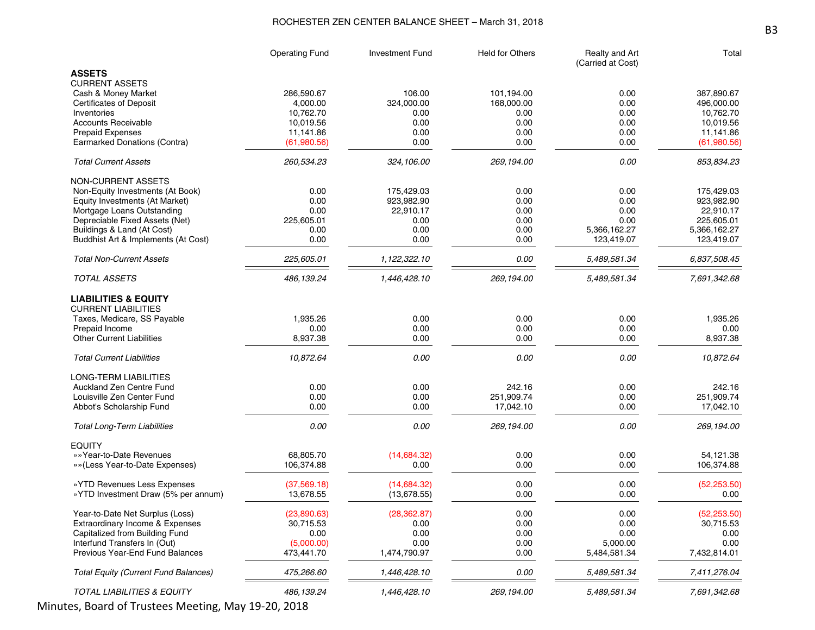### ROCHESTER ZEN CENTER BALANCE SHEET – March 31, 2018

|                                             | <b>Operating Fund</b>  | <b>Investment Fund</b> | <b>Held for Others</b> | Realty and Art<br>(Carried at Cost) | Total                   |
|---------------------------------------------|------------------------|------------------------|------------------------|-------------------------------------|-------------------------|
| <b>ASSETS</b>                               |                        |                        |                        |                                     |                         |
| <b>CURRENT ASSETS</b>                       |                        |                        |                        |                                     |                         |
| Cash & Money Market                         | 286,590.67             | 106.00                 | 101,194.00             | 0.00                                | 387,890.67              |
| <b>Certificates of Deposit</b>              | 4,000.00               | 324,000.00             | 168,000.00             | 0.00                                | 496,000.00<br>10,762.70 |
| Inventories<br><b>Accounts Receivable</b>   | 10,762.70<br>10,019.56 | 0.00<br>0.00           | 0.00<br>0.00           | 0.00<br>0.00                        | 10,019.56               |
| <b>Prepaid Expenses</b>                     | 11,141.86              | 0.00                   | 0.00                   | 0.00                                | 11,141.86               |
| Earmarked Donations (Contra)                | (61,980.56)            | 0.00                   | 0.00                   | 0.00                                | (61,980.56)             |
| <b>Total Current Assets</b>                 | 260,534.23             | 324,106.00             | 269,194.00             | 0.00                                | 853,834.23              |
| <b>NON-CURRENT ASSETS</b>                   |                        |                        |                        |                                     |                         |
| Non-Equity Investments (At Book)            | 0.00                   | 175,429.03             | 0.00                   | 0.00                                | 175,429.03              |
| Equity Investments (At Market)              | 0.00                   | 923,982.90             | 0.00                   | 0.00                                | 923,982.90              |
| Mortgage Loans Outstanding                  | 0.00                   | 22,910.17              | 0.00                   | 0.00                                | 22,910.17               |
| Depreciable Fixed Assets (Net)              | 225,605.01             | 0.00                   | 0.00                   | 0.00                                | 225,605.01              |
| Buildings & Land (At Cost)                  | 0.00                   | 0.00                   | 0.00                   | 5,366,162.27                        | 5,366,162.27            |
| Buddhist Art & Implements (At Cost)         | 0.00                   | 0.00                   | 0.00                   | 123,419.07                          | 123,419.07              |
| <b>Total Non-Current Assets</b>             | 225,605.01             | 1,122,322.10           | 0.00                   | 5,489,581.34                        | 6,837,508.45            |
| <b>TOTAL ASSETS</b>                         | 486, 139.24            | 1,446,428.10           | 269,194.00             | 5,489,581.34                        | 7,691,342.68            |
| <b>LIABILITIES &amp; EQUITY</b>             |                        |                        |                        |                                     |                         |
| <b>CURRENT LIABILITIES</b>                  |                        |                        |                        |                                     |                         |
| Taxes, Medicare, SS Payable                 | 1,935.26               | 0.00                   | 0.00                   | 0.00                                | 1,935.26                |
| Prepaid Income                              | 0.00                   | 0.00                   | 0.00                   | 0.00                                | 0.00                    |
| <b>Other Current Liabilities</b>            | 8,937.38               | 0.00                   | 0.00                   | 0.00                                | 8,937.38                |
| <b>Total Current Liabilities</b>            | 10,872.64              | 0.00                   | 0.00                   | 0.00                                | 10,872.64               |
| LONG-TERM LIABILITIES                       |                        |                        |                        |                                     |                         |
| Auckland Zen Centre Fund                    | 0.00                   | 0.00                   | 242.16                 | 0.00                                | 242.16                  |
| Louisville Zen Center Fund                  | 0.00                   | 0.00                   | 251,909.74             | 0.00                                | 251,909.74              |
| Abbot's Scholarship Fund                    | 0.00                   | 0.00                   | 17,042.10              | 0.00                                | 17,042.10               |
| <b>Total Long-Term Liabilities</b>          | 0.00                   | 0.00                   | 269,194.00             | 0.00                                | 269,194.00              |
| <b>EQUITY</b>                               |                        |                        |                        |                                     |                         |
| »»Year-to-Date Revenues                     | 68,805.70              | (14,684.32)            | 0.00                   | 0.00                                | 54,121.38               |
| »»(Less Year-to-Date Expenses)              | 106,374.88             | 0.00                   | 0.00                   | 0.00                                | 106,374.88              |
| » YTD Revenues Less Expenses                | (37,569.18)            | (14,684.32)            | 0.00                   | 0.00                                | (52, 253.50)            |
| »YTD Investment Draw (5% per annum)         | 13.678.55              | (13,678.55)            | 0.00                   | 0.00                                | 0.00                    |
| Year-to-Date Net Surplus (Loss)             | (23,890.63)            | (28, 362.87)           | 0.00                   | 0.00                                | (52, 253.50)            |
| Extraordinary Income & Expenses             | 30,715.53              | 0.00                   | 0.00                   | 0.00                                | 30,715.53               |
| Capitalized from Building Fund              | 0.00                   | 0.00                   | 0.00                   | 0.00                                | 0.00                    |
| Interfund Transfers In (Out)                | (5,000.00)             | 0.00                   | 0.00                   | 5,000.00                            | 0.00                    |
| Previous Year-End Fund Balances             | 473,441.70             | 1,474,790.97           | 0.00                   | 5,484,581.34                        | 7,432,814.01            |
| <b>Total Equity (Current Fund Balances)</b> | 475,266.60             | 1,446,428.10           | 0.00                   | 5,489,581.34                        | 7,411,276.04            |
| TOTAL LIABILITIES & EQUITY                  | 486, 139.24            | 1,446,428.10           | 269,194.00             | 5,489,581.34                        | 7,691,342.68            |

Minutes, Board of Trustees Meeting, May 19-20, 2018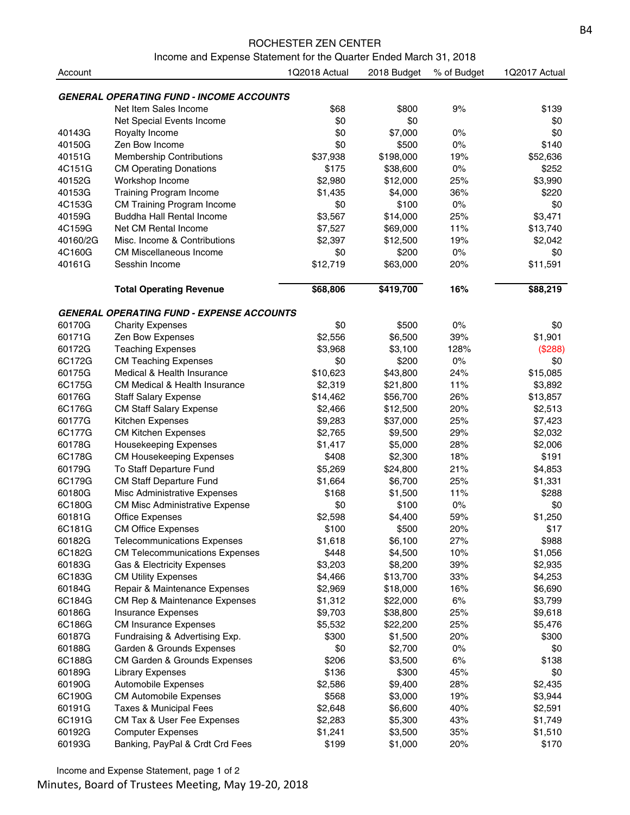#### ROCHESTER ZEN CENTER

Income and Expense Statement for the Quarter Ended March 31, 2018

| Account  |                                                  | 1Q2018 Actual | 2018 Budget | % of Budget | 1Q2017 Actual |
|----------|--------------------------------------------------|---------------|-------------|-------------|---------------|
|          |                                                  |               |             |             |               |
|          | <b>GENERAL OPERATING FUND - INCOME ACCOUNTS</b>  |               |             |             |               |
|          | Net Item Sales Income                            | \$68          | \$800       | 9%          | \$139         |
|          | Net Special Events Income                        | \$0           | \$0         |             | \$0           |
| 40143G   | Royalty Income                                   | \$0           | \$7,000     | 0%          | \$0           |
| 40150G   | Zen Bow Income                                   | \$0           | \$500       | 0%          | \$140         |
| 40151G   | <b>Membership Contributions</b>                  | \$37,938      | \$198,000   | 19%         | \$52,636      |
| 4C151G   | <b>CM Operating Donations</b>                    | \$175         | \$38,600    | 0%          | \$252         |
| 40152G   | Workshop Income                                  | \$2,980       | \$12,000    | 25%         | \$3,990       |
| 40153G   | <b>Training Program Income</b>                   | \$1,435       | \$4,000     | 36%         | \$220         |
| 4C153G   | <b>CM Training Program Income</b>                | \$0           | \$100       | $0\%$       | \$0           |
| 40159G   | Buddha Hall Rental Income                        | \$3,567       | \$14,000    | 25%         | \$3,471       |
| 4C159G   | Net CM Rental Income                             | \$7,527       | \$69,000    | 11%         | \$13,740      |
| 40160/2G | Misc. Income & Contributions                     | \$2,397       | \$12,500    | 19%         | \$2,042       |
| 4C160G   | <b>CM Miscellaneous Income</b>                   | \$0           | \$200       | $0\%$       | \$0           |
| 40161G   | Sesshin Income                                   | \$12,719      | \$63,000    | 20%         | \$11,591      |
|          | <b>Total Operating Revenue</b>                   | \$68,806      | \$419,700   | 16%         | \$88,219      |
|          | <b>GENERAL OPERATING FUND - EXPENSE ACCOUNTS</b> |               |             |             |               |
| 60170G   | <b>Charity Expenses</b>                          | \$0           | \$500       | 0%          | \$0           |
| 60171G   | Zen Bow Expenses                                 | \$2,556       | \$6,500     | 39%         | \$1,901       |
| 60172G   | <b>Teaching Expenses</b>                         | \$3,968       | \$3,100     | 128%        | (\$288)       |
| 6C172G   | <b>CM Teaching Expenses</b>                      | \$0           | \$200       | $0\%$       | \$0           |
| 60175G   | Medical & Health Insurance                       | \$10,623      | \$43,800    | 24%         | \$15,085      |
| 6C175G   | <b>CM Medical &amp; Health Insurance</b>         | \$2,319       | \$21,800    | 11%         | \$3,892       |
| 60176G   | <b>Staff Salary Expense</b>                      | \$14,462      | \$56,700    | 26%         | \$13,857      |
| 6C176G   | <b>CM Staff Salary Expense</b>                   | \$2,466       | \$12,500    | 20%         | \$2,513       |
| 60177G   | Kitchen Expenses                                 | \$9,283       | \$37,000    | 25%         | \$7,423       |
| 6C177G   | <b>CM Kitchen Expenses</b>                       | \$2,765       | \$9,500     | 29%         | \$2,032       |
| 60178G   | <b>Housekeeping Expenses</b>                     | \$1,417       | \$5,000     | 28%         | \$2,006       |
| 6C178G   | <b>CM Housekeeping Expenses</b>                  | \$408         | \$2,300     | 18%         | \$191         |
| 60179G   | To Staff Departure Fund                          | \$5,269       | \$24,800    | 21%         | \$4,853       |
| 6C179G   | <b>CM Staff Departure Fund</b>                   | \$1,664       | \$6,700     | 25%         | \$1,331       |
| 60180G   | Misc Administrative Expenses                     | \$168         | \$1,500     | 11%         | \$288         |
| 6C180G   | <b>CM Misc Administrative Expense</b>            | \$0           | \$100       | $0\%$       | \$0           |
| 60181G   | <b>Office Expenses</b>                           | \$2,598       | \$4,400     | 59%         | \$1,250       |
| 6C181G   | <b>CM Office Expenses</b>                        | \$100         | \$500       | 20%         | \$17          |
| 60182G   | <b>Telecommunications Expenses</b>               | \$1,618       | \$6,100     | 27%         | \$988         |
| 6C182G   | <b>CM Telecommunications Expenses</b>            | \$448         | \$4,500     | 10%         | \$1,056       |
| 60183G   | Gas & Electricity Expenses                       | \$3,203       | \$8,200     | 39%         | \$2,935       |
| 6C183G   | <b>CM Utility Expenses</b>                       | \$4,466       | \$13,700    | 33%         | \$4,253       |
| 60184G   | Repair & Maintenance Expenses                    | \$2,969       | \$18,000    | 16%         | \$6,690       |
| 6C184G   | CM Rep & Maintenance Expenses                    | \$1,312       | \$22,000    | 6%          | \$3,799       |
| 60186G   | <b>Insurance Expenses</b>                        | \$9,703       | \$38,800    | 25%         | \$9,618       |
| 6C186G   | <b>CM Insurance Expenses</b>                     | \$5,532       | \$22,200    | 25%         | \$5,476       |
| 60187G   | Fundraising & Advertising Exp.                   | \$300         | \$1,500     | 20%         | \$300         |
| 60188G   | Garden & Grounds Expenses                        | \$0           | \$2,700     | $0\%$       | \$0           |
| 6C188G   | CM Garden & Grounds Expenses                     | \$206         | \$3,500     | 6%          | \$138         |
| 60189G   | <b>Library Expenses</b>                          | \$136         | \$300       | 45%         | \$0           |
| 60190G   | Automobile Expenses                              | \$2,586       | \$9,400     | 28%         | \$2,435       |
| 6C190G   | <b>CM Automobile Expenses</b>                    | \$568         | \$3,000     | 19%         | \$3,944       |
| 60191G   | Taxes & Municipal Fees                           | \$2,648       | \$6,600     | 40%         | \$2,591       |
| 6C191G   | CM Tax & User Fee Expenses                       | \$2,283       | \$5,300     | 43%         | \$1,749       |
| 60192G   | <b>Computer Expenses</b>                         | \$1,241       | \$3,500     | 35%         | \$1,510       |
| 60193G   | Banking, PayPal & Crdt Crd Fees                  | \$199         | \$1,000     | 20%         | \$170         |
|          |                                                  |               |             |             |               |

Income and Expense Statement, page 1 of 2

Minutes, Board of Trustees Meeting, May 19-20, 2018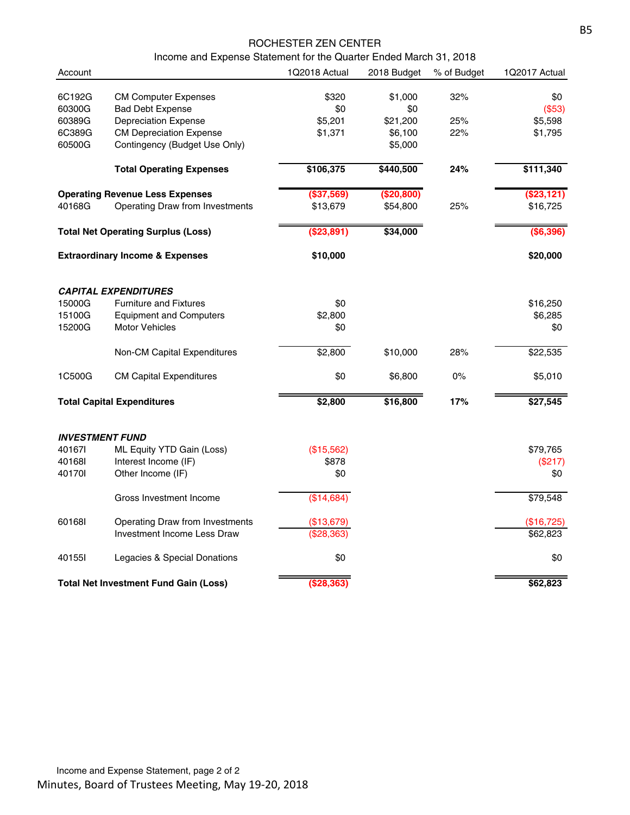### ROCHESTER ZEN CENTER

Income and Expense Statement for the Quarter Ended March 31, 2018

| Account                |                                              | 1Q2018 Actual | 2018 Budget | % of Budget | 1Q2017 Actual |
|------------------------|----------------------------------------------|---------------|-------------|-------------|---------------|
| 6C192G                 | <b>CM Computer Expenses</b>                  | \$320         | \$1,000     | 32%         | \$0           |
| 60300G                 | <b>Bad Debt Expense</b>                      | \$0           | \$0         |             | (\$53)        |
| 60389G                 | <b>Depreciation Expense</b>                  | \$5,201       | \$21,200    | 25%         | \$5,598       |
| 6C389G                 | <b>CM Depreciation Expense</b>               | \$1,371       | \$6,100     | 22%         | \$1,795       |
| 60500G                 | Contingency (Budget Use Only)                |               | \$5,000     |             |               |
|                        | <b>Total Operating Expenses</b>              | \$106,375     | \$440,500   | 24%         | \$111,340     |
|                        | <b>Operating Revenue Less Expenses</b>       | (\$37,569)    | (\$20,800)  |             | $($ \$23,121) |
| 40168G                 | Operating Draw from Investments              | \$13,679      | \$54,800    | 25%         | \$16,725      |
|                        | <b>Total Net Operating Surplus (Loss)</b>    | (\$23,891)    | \$34,000    |             | (\$6,396)     |
|                        | <b>Extraordinary Income &amp; Expenses</b>   | \$10,000      |             |             | \$20,000      |
|                        | <b>CAPITAL EXPENDITURES</b>                  |               |             |             |               |
| 15000G                 | <b>Furniture and Fixtures</b>                | \$0           |             |             | \$16,250      |
| 15100G                 | <b>Equipment and Computers</b>               | \$2,800       |             |             | \$6,285       |
| 15200G                 | <b>Motor Vehicles</b>                        | \$0           |             |             | \$0           |
|                        | Non-CM Capital Expenditures                  | \$2,800       | \$10,000    | 28%         | \$22,535      |
| 1C500G                 | <b>CM Capital Expenditures</b>               | \$0           | \$6,800     | $0\%$       | \$5,010       |
|                        | <b>Total Capital Expenditures</b>            | \$2,800       | \$16,800    | 17%         | \$27,545      |
| <b>INVESTMENT FUND</b> |                                              |               |             |             |               |
| 401671                 | ML Equity YTD Gain (Loss)                    | (\$15,562)    |             |             | \$79,765      |
| 401681                 | Interest Income (IF)                         | \$878         |             |             | (\$217)       |
| 401701                 | Other Income (IF)                            | \$0           |             |             | \$0           |
|                        | Gross Investment Income                      | (\$14,684)    |             |             | \$79,548      |
| 601681                 | Operating Draw from Investments              | (\$13,679)    |             |             | (\$16,725)    |
|                        | Investment Income Less Draw                  | (\$28,363)    |             |             | \$62,823      |
| 401551                 | Legacies & Special Donations                 | \$0           |             |             | \$0           |
|                        | <b>Total Net Investment Fund Gain (Loss)</b> | (S28, 363)    |             |             | \$62,823      |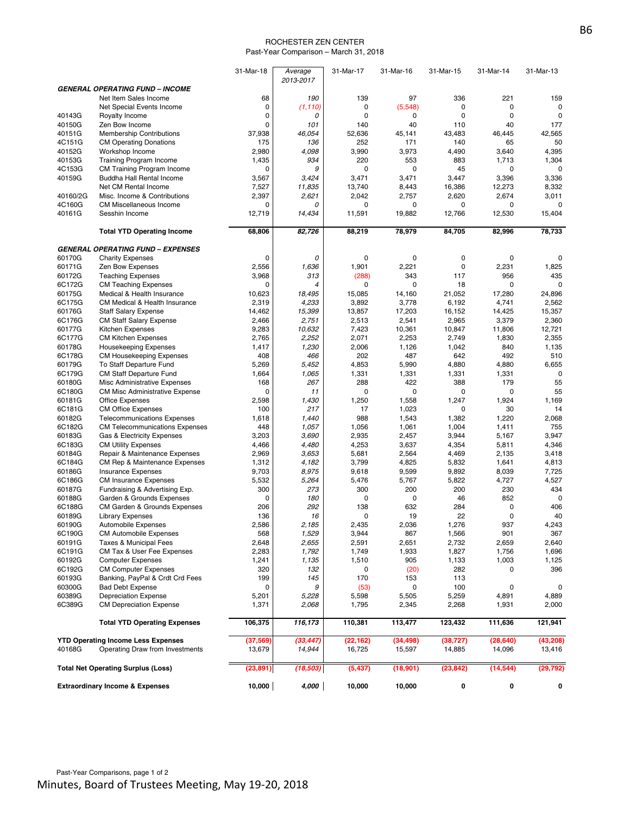#### ROCHESTER ZEN CENTER Past-Year Comparison – March 31, 2018

|                                            |                                                      | 31-Mar-18    | Average<br>2013-2017 | 31-Mar-17      | 31-Mar-16    | 31-Mar-15    | 31-Mar-14      | 31-Mar-13    |
|--------------------------------------------|------------------------------------------------------|--------------|----------------------|----------------|--------------|--------------|----------------|--------------|
|                                            | <b>GENERAL OPERATING FUND - INCOME</b>               |              |                      |                |              |              |                |              |
|                                            | Net Item Sales Income                                | 68           | 190                  | 139            | 97           | 336          | 221            | 159          |
|                                            | Net Special Events Income                            | 0            | (1, 110)             | 0              | (5, 548)     | $\mathbf 0$  | 0              | $\mathbf 0$  |
| 40143G                                     | Royalty Income                                       | $\mathbf 0$  | 0                    | $\mathbf 0$    | 0            | $\mathbf 0$  | 0              | $\mathbf 0$  |
| 40150G                                     | Zen Bow Income                                       | 0            | 101                  | 140            | 40           | 110          | 40             | 177          |
| 40151G                                     | <b>Membership Contributions</b>                      | 37,938       | 46,054               | 52,636         | 45,141       | 43,483       | 46,445         | 42,565       |
| 4C151G                                     | <b>CM Operating Donations</b>                        | 175          | 136                  | 252            | 171          | 140          | 65             | 50           |
| 40152G                                     | Workshop Income                                      | 2,980        | 4,098                | 3,990          | 3,973        | 4,490        | 3,640          | 4,395        |
| 40153G                                     | <b>Training Program Income</b>                       | 1,435        | 934                  | 220            | 553          | 883          | 1,713          | 1,304        |
| 4C153G                                     | CM Training Program Income                           | 0            | 9                    | 0              | 0            | 45           | 0              | 0            |
| 40159G                                     | Buddha Hall Rental Income                            | 3,567        | 3,424                | 3,471          | 3,471        | 3,447        | 3,396          | 3,336        |
|                                            | Net CM Rental Income                                 | 7,527        | 11,835               | 13,740         | 8,443        | 16,386       | 12,273         | 8,332        |
| 40160/2G                                   | Misc. Income & Contributions                         | 2,397        | 2,621                | 2,042          | 2,757        | 2,620        | 2,674          | 3,011        |
| 4C160G                                     | <b>CM Miscellaneous Income</b>                       | 0            | 0                    | 0              | 0            | $\mathbf 0$  | 0              | 0            |
| 40161G                                     | Sesshin Income                                       | 12,719       | 14,434               | 11,591         | 19,882       | 12,766       | 12,530         | 15,404       |
|                                            | <b>Total YTD Operating Income</b>                    | 68,806       | 82,726               | 88,219         | 78,979       | 84,705       | 82,996         | 78,733       |
|                                            | <b>GENERAL OPERATING FUND - EXPENSES</b>             |              |                      |                |              |              |                |              |
| 60170G                                     | <b>Charity Expenses</b>                              | 0            | 0                    | $\mathbf 0$    | $\mathbf 0$  | $\mathbf 0$  | 0              | 0            |
| 60171G                                     | Zen Bow Expenses                                     | 2,556        | 1,636                | 1,901          | 2,221        | $\mathbf 0$  | 2,231          | 1,825        |
| 60172G                                     | <b>Teaching Expenses</b>                             | 3,968        | 313                  | (288)          | 343          | 117          | 956            | 435          |
| 6C172G                                     | <b>CM Teaching Expenses</b>                          | 0            | 4                    | $\mathbf 0$    | 0            | 18           | 0              | $\mathbf 0$  |
| 60175G                                     | Medical & Health Insurance                           | 10,623       | 18,495               | 15,085         | 14,160       | 21,052       | 17,280         | 24,896       |
| 6C175G                                     | <b>CM Medical &amp; Health Insurance</b>             | 2,319        | 4,233                | 3,892          | 3,778        | 6,192        | 4,741          | 2,562        |
| 60176G                                     | <b>Staff Salary Expense</b>                          | 14,462       | 15,399               | 13,857         | 17,203       | 16,152       | 14,425         | 15,357       |
| 6C176G                                     | <b>CM Staff Salary Expense</b>                       | 2,466        | 2,751                | 2,513          | 2,541        | 2,965        | 3,379          | 2,360        |
| 60177G                                     | <b>Kitchen Expenses</b>                              | 9,283        | 10,632               | 7,423          | 10,361       | 10,847       | 11,806         | 12,721       |
| 6C177G                                     | <b>CM Kitchen Expenses</b>                           | 2,765        | 2,252                | 2,071          | 2,253        | 2,749        | 1,830          | 2,355        |
| 60178G                                     | <b>Housekeeping Expenses</b>                         | 1,417        | 1,230                | 2,006          | 1,126        | 1,042        | 840            | 1,135        |
| 6C178G                                     | CM Housekeeping Expenses                             | 408          | 466                  | 202            | 487          | 642          | 492            | 510          |
| 60179G                                     | To Staff Departure Fund                              | 5,269        | 5,452                | 4,853          | 5,990        | 4,880        | 4,880          | 6,655        |
| 6C179G                                     | <b>CM Staff Departure Fund</b>                       | 1,664        | 1,065                | 1,331          | 1,331        | 1,331        | 1,331          | $\mathbf 0$  |
| 60180G                                     | Misc Administrative Expenses                         | 168          | 267                  | 288            | 422          | 388          | 179            | 55           |
| 6C180G                                     | <b>CM Misc Administrative Expense</b>                | 0            | 11                   | 0              | 0            | $\mathbf 0$  | 0              | 55           |
| 60181G                                     | <b>Office Expenses</b>                               | 2,598        | 1,430                | 1,250          | 1,558        | 1,247        | 1,924          | 1,169        |
| 6C181G                                     | <b>CM Office Expenses</b>                            | 100          | 217                  | 17             | 1,023        | $\mathbf 0$  | 30             | 14           |
| 60182G                                     | <b>Telecommunications Expenses</b>                   | 1,618        | 1,440                | 988            | 1,543        | 1,382        | 1,220          | 2,068        |
| 6C182G                                     | <b>CM Telecommunications Expenses</b>                | 448          | 1,057                | 1,056          | 1,061        | 1,004        | 1,411          | 755          |
| 60183G                                     | Gas & Electricity Expenses                           | 3,203        | 3,690                | 2,935          | 2,457        | 3,944        | 5,167          | 3,947        |
| 6C183G                                     | <b>CM Utility Expenses</b>                           | 4,466        | 4,480                | 4,253          | 3,637        | 4,354        | 5,811          | 4,346        |
| 60184G                                     | Repair & Maintenance Expenses                        | 2,969        | 3,653                | 5,681          | 2,564        | 4,469        | 2,135          | 3,418        |
| 6C184G                                     | CM Rep & Maintenance Expenses                        | 1,312        | 4,182                | 3,799          | 4,825        | 5,832        | 1,641          | 4,813        |
| 60186G                                     | <b>Insurance Expenses</b>                            | 9,703        | 8,975                | 9,618          | 9,599        | 9,892        | 8,039          | 7,725        |
| 6C186G                                     | <b>CM Insurance Expenses</b>                         | 5,532        | 5,264                | 5,476          | 5,767        | 5,822        | 4,727          | 4,527        |
| 60187G                                     | Fundraising & Advertising Exp.                       | 300          | 273                  | 300            | 200          | 200          | 230            | 434          |
| 60188G                                     | Garden & Grounds Expenses                            | 0            | 180                  | 0              | 0            | 46           | 852            | 0            |
| 6C188G                                     | CM Garden & Grounds Expenses                         | 206          | 292                  | 138            | 632          | 284          | 0              | 406          |
| 60189G                                     | <b>Library Expenses</b>                              | 136          | 16                   | $\mathbf 0$    | 19           | 22           | $\mathbf 0$    | 40           |
| 60190G                                     | <b>Automobile Expenses</b>                           | 2,586        | 2,185                | 2.435          | 2,036        | 1,276        | 937            | 4,243        |
| 6C190G                                     | <b>CM Automobile Expenses</b>                        | 568          | 1,529                | 3,944          | 867          | 1,566        | 901            | 367          |
| 60191G                                     | Taxes & Municipal Fees<br>CM Tax & User Fee Expenses | 2,648        | 2,655                | 2,591          | 2,651        | 2,732        | 2,659          | 2,640        |
| 6C191G<br>60192G                           | <b>Computer Expenses</b>                             | 2,283        | 1,792<br>1,135       | 1,749          | 1,933<br>905 | 1,827        | 1,756<br>1,003 | 1,696        |
| 6C192G                                     | <b>CM Computer Expenses</b>                          | 1,241<br>320 | 132                  | 1,510<br>0     |              | 1,133<br>282 | 0              | 1,125<br>396 |
| 60193G                                     | Banking, PayPal & Crdt Crd Fees                      | 199          | 145                  | 170            | (20)<br>153  | 113          |                |              |
| 60300G                                     | <b>Bad Debt Expense</b>                              | 0            | 9                    |                | 0            | 100          | 0              | 0            |
| 60389G                                     | <b>Depreciation Expense</b>                          | 5,201        | 5,228                | (53)           | 5,505        | 5,259        | 4,891          | 4,889        |
| 6C389G                                     | <b>CM Depreciation Expense</b>                       | 1,371        | 2,068                | 5,598<br>1,795 | 2,345        | 2,268        | 1,931          | 2,000        |
|                                            | <b>Total YTD Operating Expenses</b>                  | 106,375      | 116,173              | 110,381        | 113,477      | 123,432      | 111,636        | 121,941      |
|                                            |                                                      |              |                      |                |              |              |                |              |
|                                            | <b>YTD Operating Income Less Expenses</b>            | (37, 569)    | (33, 447)            | (22, 162)      | (34, 498)    | (38, 727)    | (28, 640)      | (43, 208)    |
| 40168G                                     | Operating Draw from Investments                      | 13,679       | 14,944               | 16,725         | 15,597       | 14,885       | 14,096         | 13,416       |
|                                            | <b>Total Net Operating Surplus (Loss)</b>            | (23, 891)    | (18, 503)            | (5, 437)       | (18,901)     | (23, 842)    | (14, 544)      | (29, 792)    |
| <b>Extraordinary Income &amp; Expenses</b> |                                                      | 10,000       | 4,000                | 10,000         | 10,000       | 0            | 0              | 0            |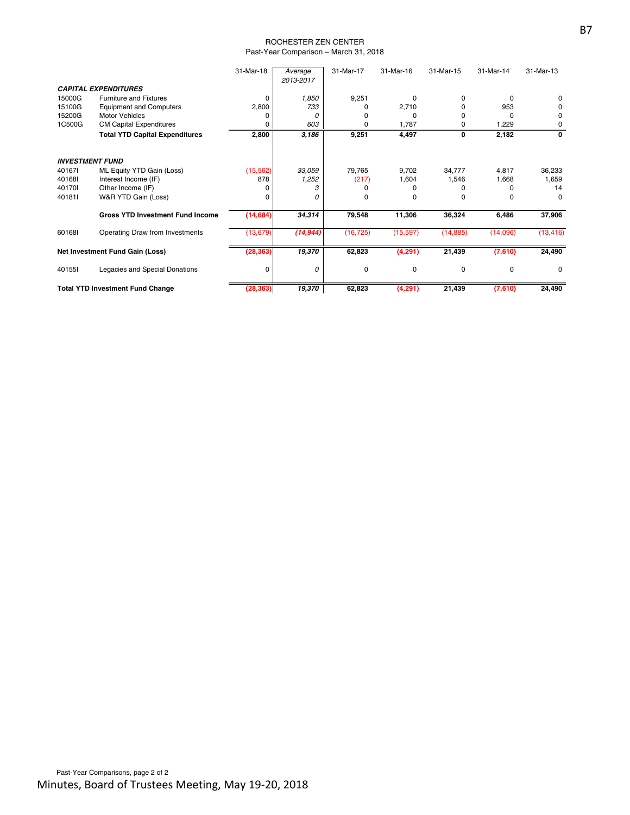#### ROCHESTER ZEN CENTER Past-Year Comparison – March 31, 2018

|                                         |                                         | 31-Mar-18 | Average<br>2013-2017 | 31-Mar-17   | 31-Mar-16 | 31-Mar-15    | 31-Mar-14 | 31-Mar-13 |
|-----------------------------------------|-----------------------------------------|-----------|----------------------|-------------|-----------|--------------|-----------|-----------|
|                                         | <b>CAPITAL EXPENDITURES</b>             |           |                      |             |           |              |           |           |
| 15000G                                  | <b>Furniture and Fixtures</b>           | $\Omega$  | 1,850                | 9,251       | O         | $\Omega$     | O         | 0         |
| 15100G                                  | <b>Equipment and Computers</b>          | 2,800     | 733                  | n           | 2,710     | o            | 953       | 0         |
| 15200G                                  | <b>Motor Vehicles</b>                   |           | 0                    |             | C         | O            |           | 0         |
| 1C500G                                  | <b>CM Capital Expenditures</b>          |           | 603                  | ი           | 1,787     | 0            | 1,229     | 0         |
|                                         | <b>Total YTD Capital Expenditures</b>   | 2,800     | 3,186                | 9,251       | 4,497     | 0            | 2,182     | 0         |
| <b>INVESTMENT FUND</b>                  |                                         |           |                      |             |           |              |           |           |
| 401671                                  | ML Equity YTD Gain (Loss)               | (15, 562) | 33,059               | 79.765      | 9,702     | 34,777       | 4,817     | 36,233    |
| 401681                                  | Interest Income (IF)                    | 878       | 1,252                | (217)       | 1,604     | 1,546        | 1,668     | 1,659     |
| 401701                                  | Other Income (IF)                       |           |                      |             |           |              |           | 14        |
| 401811                                  | W&R YTD Gain (Loss)                     | o         | 0                    | O           | 0         | <sup>0</sup> |           | 0         |
|                                         | <b>Gross YTD Investment Fund Income</b> | (14, 684) | 34,314               | 79,548      | 11,306    | 36,324       | 6,486     | 37,906    |
| 601681                                  | Operating Draw from Investments         | (13, 679) | (14, 944)            | (16, 725)   | (15, 597) | (14, 885)    | (14,096)  | (13, 416) |
| Net Investment Fund Gain (Loss)         |                                         | (28, 363) | 19,370               | 62,823      | (4,291)   | 21,439       | (7,610)   | 24,490    |
| 40155I                                  | Legacies and Special Donations          | 0         | 0                    | $\mathbf 0$ | 0         | $\Omega$     | $\Omega$  | $\Omega$  |
| <b>Total YTD Investment Fund Change</b> |                                         | (28, 363) | 19,370               | 62,823      | (4,291)   | 21,439       | (7,610)   | 24,490    |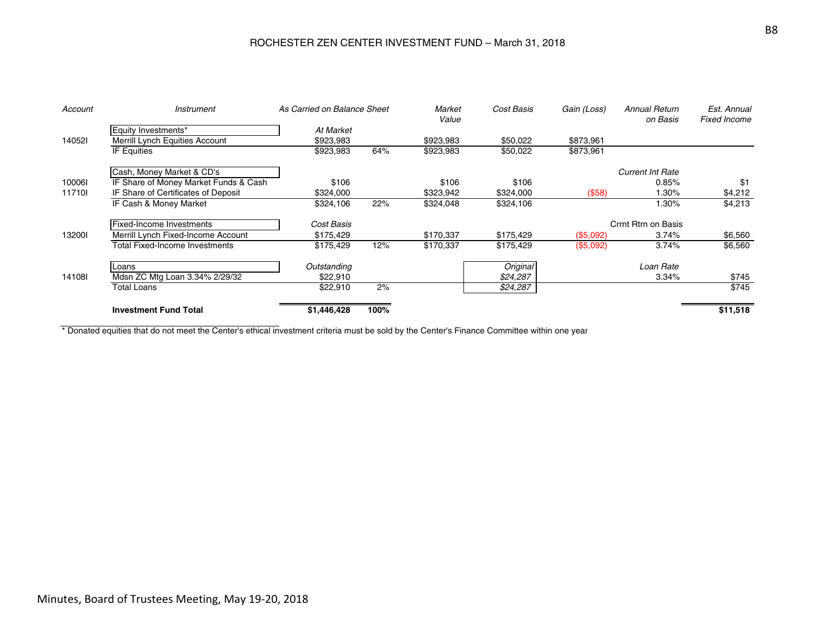## ROCHESTER ZEN CENTER INVESTMENT FUND – March 31, 2018

| Account | <i><b>Instrument</b></i>              | As Carried on Balance Sheet |      | Market<br>Value | Cost Basis | Gain (Loss) | <b>Annual Return</b><br>on Basis | Est. Annual<br><b>Fixed Income</b> |  |
|---------|---------------------------------------|-----------------------------|------|-----------------|------------|-------------|----------------------------------|------------------------------------|--|
|         | Equity Investments*                   | At Market                   |      |                 |            |             |                                  |                                    |  |
| 140521  | Merrill Lynch Equities Account        | \$923,983                   |      | \$923,983       | \$50,022   | \$873,961   |                                  |                                    |  |
|         | IF Equities                           | \$923,983                   | 64%  | \$923,983       | \$50,022   | \$873,961   |                                  |                                    |  |
|         | Cash, Money Market & CD's             |                             |      |                 |            |             | <b>Current Int Rate</b>          |                                    |  |
| 100061  | IF Share of Money Market Funds & Cash | \$106                       |      | \$106           | \$106      |             | 0.85%                            | \$1                                |  |
| 117101  | IF Share of Certificates of Deposit   | \$324,000                   |      | \$323,942       | \$324,000  | (\$58)      | .30%                             | \$4,212                            |  |
|         | IF Cash & Money Market                | \$324,106                   | 22%  | \$324,048       | \$324,106  |             | $1.30\%$                         | \$4,213                            |  |
|         | Fixed-Income Investments              | Cost Basis                  |      |                 |            |             | Crrnt Rtrn on Basis              |                                    |  |
| 132001  | Merrill Lynch Fixed-Income Account    | \$175,429                   |      | \$170,337       | \$175,429  | (\$5,092)   | 3.74%                            | \$6,560                            |  |
|         | <b>Total Fixed-Income Investments</b> | \$175,429                   | 12%  | \$170,337       | \$175,429  | (\$5,092)   | 3.74%                            | \$6,560                            |  |
|         | Loans                                 | Outstanding                 |      |                 | Original   |             | Loan Rate                        |                                    |  |
| 141081  | Mdsn ZC Mtg Loan 3.34% 2/29/32        | \$22,910                    |      |                 | \$24,287   |             | 3.34%                            | \$745                              |  |
|         | <b>Total Loans</b>                    | \$22,910                    | 2%   |                 | \$24,287   |             |                                  | \$745                              |  |
|         | <b>Investment Fund Total</b>          | \$1,446,428                 | 100% |                 |            |             |                                  | \$11,518                           |  |

\* Donated equities that do not meet the Center's ethical investment criteria must be sold by the Center's Finance Committee within one year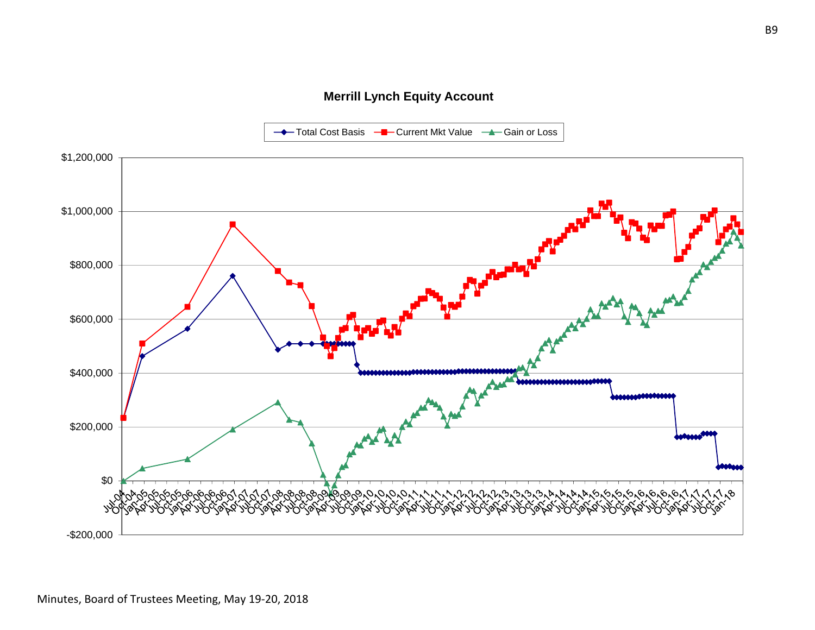## **Merrill Lynch Equity Account**

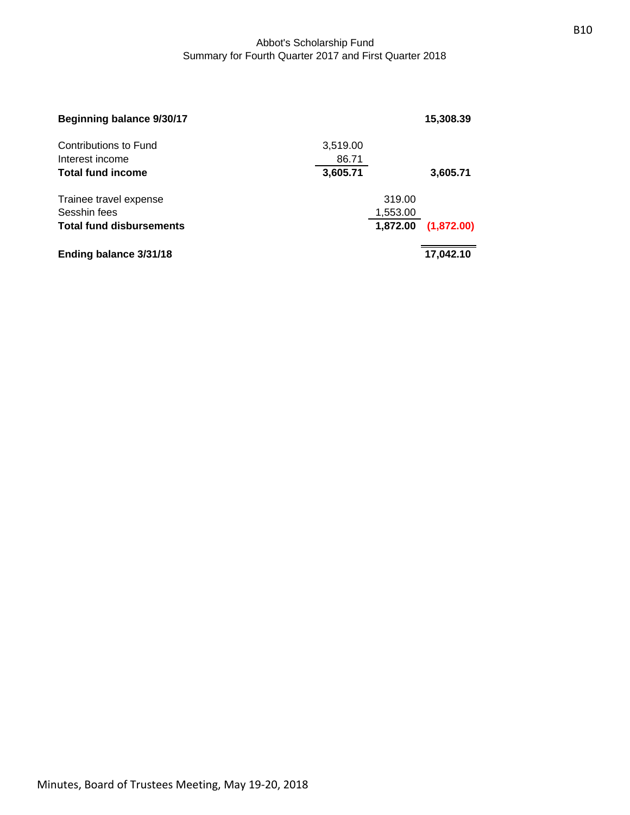## Abbot's Scholarship Fund Summary for Fourth Quarter 2017 and First Quarter 2018

| <b>Beginning balance 9/30/17</b> |          |          | 15,308.39  |
|----------------------------------|----------|----------|------------|
| Contributions to Fund            | 3,519.00 |          |            |
| Interest income                  | 86.71    |          |            |
| <b>Total fund income</b>         | 3,605.71 |          | 3,605.71   |
| Trainee travel expense           |          | 319.00   |            |
| Sesshin fees                     |          | 1,553.00 |            |
| <b>Total fund disbursements</b>  |          | 1,872.00 | (1,872.00) |
| Ending balance 3/31/18           |          |          | 17,042.10  |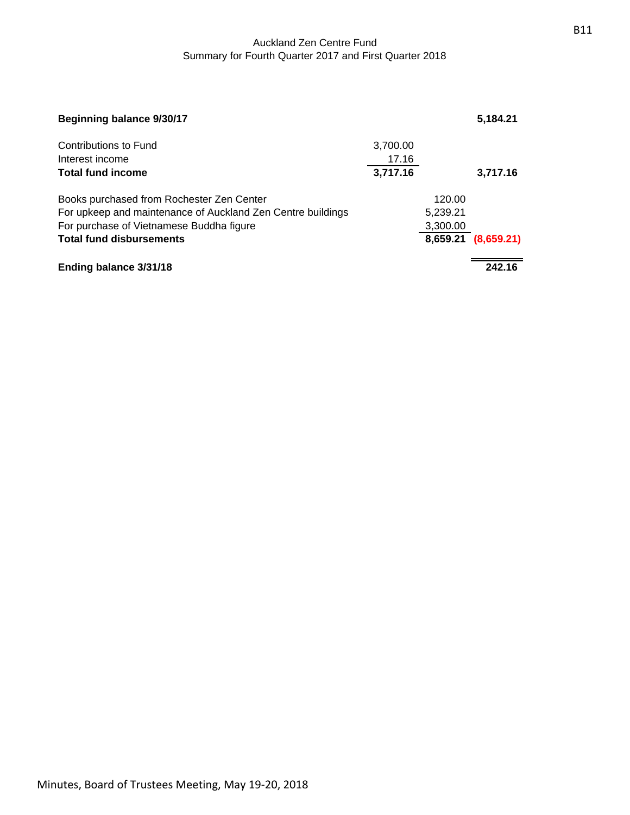## Auckland Zen Centre Fund Summary for Fourth Quarter 2017 and First Quarter 2018

| Beginning balance 9/30/17                                   |          |          | 5,184.21            |
|-------------------------------------------------------------|----------|----------|---------------------|
| Contributions to Fund                                       | 3,700.00 |          |                     |
| Interest income                                             | 17.16    |          |                     |
| <b>Total fund income</b>                                    | 3,717.16 |          | 3,717.16            |
| Books purchased from Rochester Zen Center                   |          | 120.00   |                     |
| For upkeep and maintenance of Auckland Zen Centre buildings |          | 5,239.21 |                     |
| For purchase of Vietnamese Buddha figure                    |          | 3,300.00 |                     |
| <b>Total fund disbursements</b>                             |          |          | 8,659.21 (8,659.21) |
| Ending balance 3/31/18                                      |          |          | 242.16              |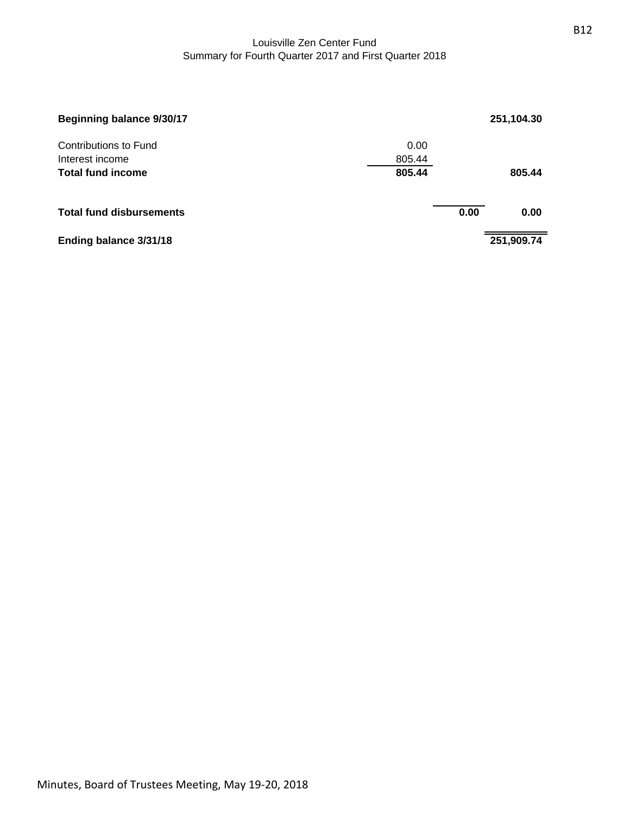## Louisville Zen Center Fund Summary for Fourth Quarter 2017 and First Quarter 2018

| Beginning balance 9/30/17                |                |      | 251,104.30 |
|------------------------------------------|----------------|------|------------|
| Contributions to Fund<br>Interest income | 0.00<br>805.44 |      |            |
| <b>Total fund income</b>                 | 805.44         |      | 805.44     |
| <b>Total fund disbursements</b>          |                | 0.00 | 0.00       |
| Ending balance 3/31/18                   |                |      | 251,909.74 |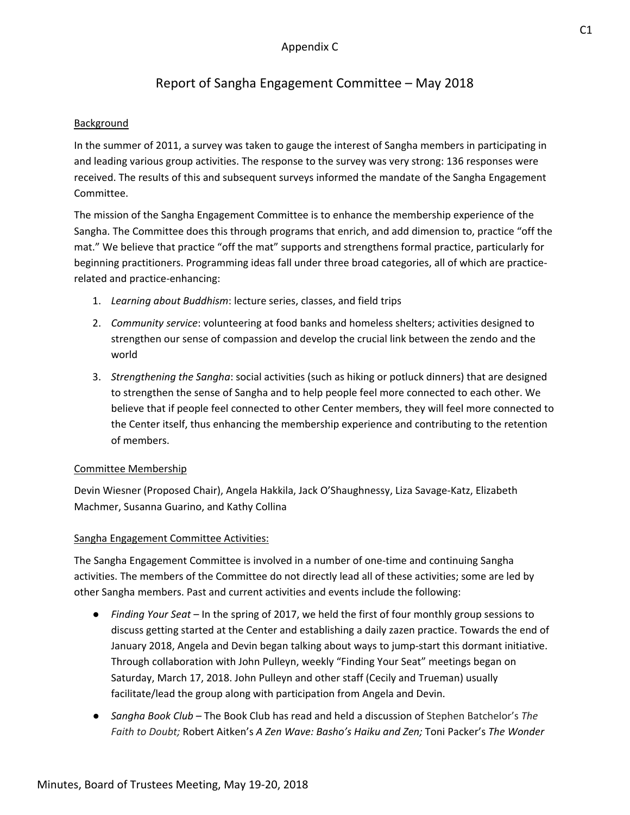# Report of Sangha Engagement Committee – May 2018

## **Background**

In the summer of 2011, a survey was taken to gauge the interest of Sangha members in participating in and leading various group activities. The response to the survey was very strong: 136 responses were received. The results of this and subsequent surveys informed the mandate of the Sangha Engagement Committee.

The mission of the Sangha Engagement Committee is to enhance the membership experience of the Sangha. The Committee does this through programs that enrich, and add dimension to, practice "off the mat." We believe that practice "off the mat" supports and strengthens formal practice, particularly for beginning practitioners. Programming ideas fall under three broad categories, all of which are practice‐ related and practice‐enhancing:

- 1. *Learning about Buddhism*: lecture series, classes, and field trips
- 2. *Community service*: volunteering at food banks and homeless shelters; activities designed to strengthen our sense of compassion and develop the crucial link between the zendo and the world
- 3. *Strengthening the Sangha*: social activities (such as hiking or potluck dinners) that are designed to strengthen the sense of Sangha and to help people feel more connected to each other. We believe that if people feel connected to other Center members, they will feel more connected to the Center itself, thus enhancing the membership experience and contributing to the retention of members.

## Committee Membership

Devin Wiesner (Proposed Chair), Angela Hakkila, Jack O'Shaughnessy, Liza Savage‐Katz, Elizabeth Machmer, Susanna Guarino, and Kathy Collina

## Sangha Engagement Committee Activities:

The Sangha Engagement Committee is involved in a number of one‐time and continuing Sangha activities. The members of the Committee do not directly lead all of these activities; some are led by other Sangha members. Past and current activities and events include the following:

- *Finding Your Seat* In the spring of 2017, we held the first of four monthly group sessions to discuss getting started at the Center and establishing a daily zazen practice. Towards the end of January 2018, Angela and Devin began talking about ways to jump‐start this dormant initiative. Through collaboration with John Pulleyn, weekly "Finding Your Seat" meetings began on Saturday, March 17, 2018. John Pulleyn and other staff (Cecily and Trueman) usually facilitate/lead the group along with participation from Angela and Devin.
- *Sangha Book Club* The Book Club has read and held a discussion of Stephen Batchelor's *The Faith to Doubt;* Robert Aitken's *A Zen Wave: Basho's Haiku and Zen;* Toni Packer's *The Wonder*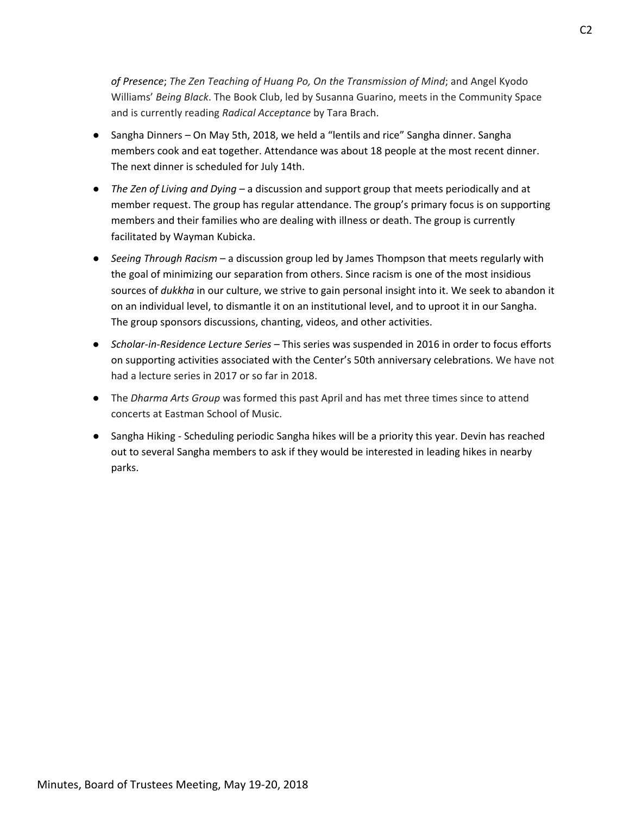*of Presence*; *The Zen Teaching of Huang Po, On the Transmission of Mind*; and Angel Kyodo Williams' *Being Black*. The Book Club, led by Susanna Guarino, meets in the Community Space and is currently reading *Radical Acceptance* by Tara Brach.

- Sangha Dinners *–* On May 5th, 2018, we held a "lentils and rice" Sangha dinner. Sangha members cook and eat together. Attendance was about 18 people at the most recent dinner. The next dinner is scheduled for July 14th.
- *The Zen of Living and Dying* a discussion and support group that meets periodically and at member request. The group has regular attendance. The group's primary focus is on supporting members and their families who are dealing with illness or death. The group is currently facilitated by Wayman Kubicka.
- *Seeing Through Racism* a discussion group led by James Thompson that meets regularly with the goal of minimizing our separation from others. Since racism is one of the most insidious sources of *dukkha* in our culture, we strive to gain personal insight into it. We seek to abandon it on an individual level, to dismantle it on an institutional level, and to uproot it in our Sangha. The group sponsors discussions, chanting, videos, and other activities.
- *Scholar‐in‐Residence Lecture Series* This series was suspended in 2016 in order to focus efforts on supporting activities associated with the Center's 50th anniversary celebrations. We have not had a lecture series in 2017 or so far in 2018.
- The *Dharma Arts Group* was formed this past April and has met three times since to attend concerts at Eastman School of Music.
- Sangha Hiking Scheduling periodic Sangha hikes will be a priority this year. Devin has reached out to several Sangha members to ask if they would be interested in leading hikes in nearby parks.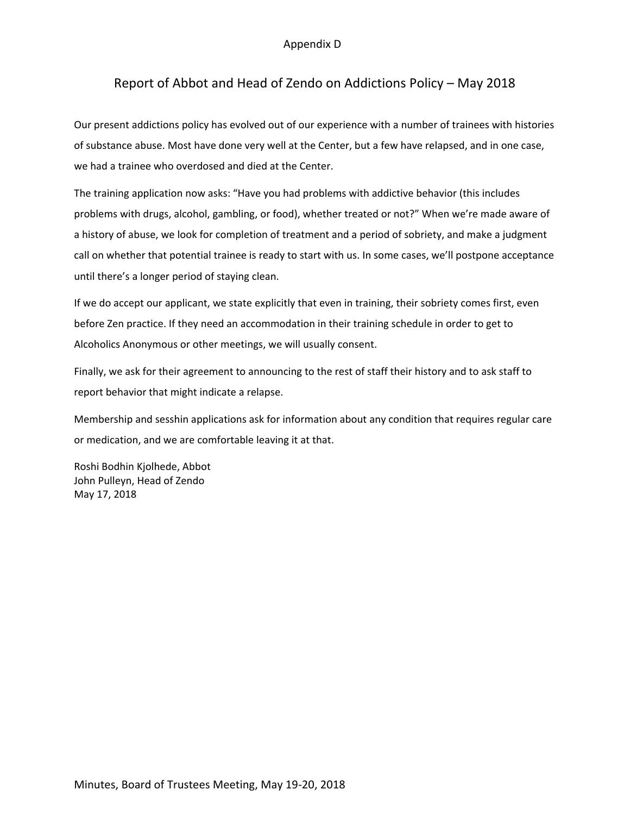## Appendix D

## Report of Abbot and Head of Zendo on Addictions Policy – May 2018

Our present addictions policy has evolved out of our experience with a number of trainees with histories of substance abuse. Most have done very well at the Center, but a few have relapsed, and in one case, we had a trainee who overdosed and died at the Center.

The training application now asks: "Have you had problems with addictive behavior (this includes problems with drugs, alcohol, gambling, or food), whether treated or not?" When we're made aware of a history of abuse, we look for completion of treatment and a period of sobriety, and make a judgment call on whether that potential trainee is ready to start with us. In some cases, we'll postpone acceptance until there's a longer period of staying clean.

If we do accept our applicant, we state explicitly that even in training, their sobriety comes first, even before Zen practice. If they need an accommodation in their training schedule in order to get to Alcoholics Anonymous or other meetings, we will usually consent.

Finally, we ask for their agreement to announcing to the rest of staff their history and to ask staff to report behavior that might indicate a relapse.

Membership and sesshin applications ask for information about any condition that requires regular care or medication, and we are comfortable leaving it at that.

Roshi Bodhin Kjolhede, Abbot John Pulleyn, Head of Zendo May 17, 2018